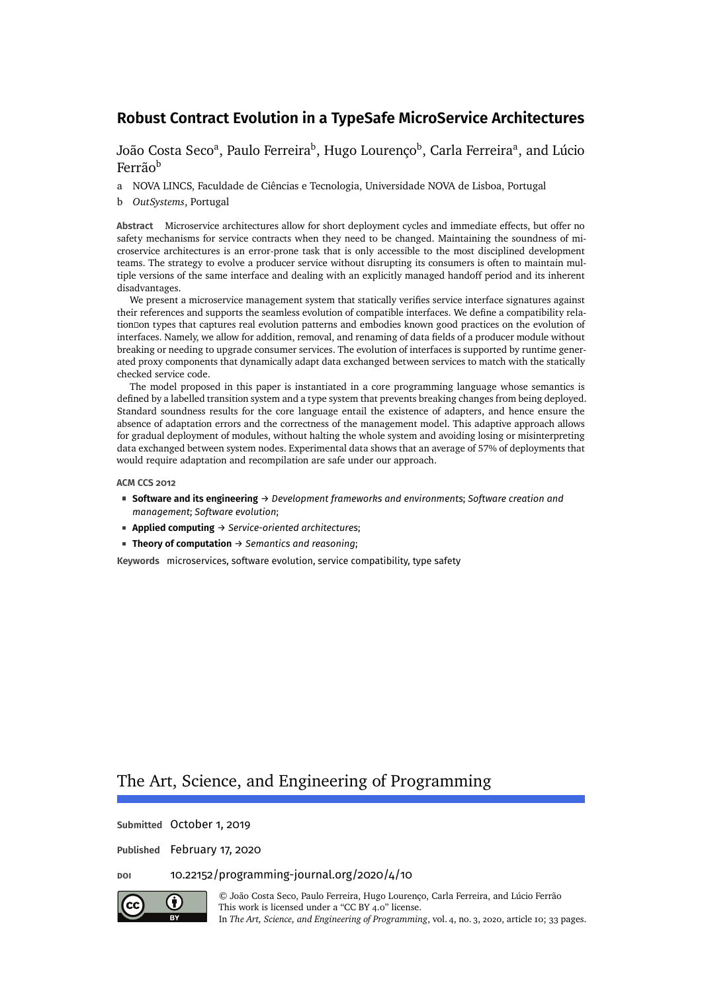[João Costa Seco](#page-32-0)ª, [Paulo Ferreira](#page-32-1)<sup>b</sup>, [Hugo Lourenço](#page-32-2)<sup>b</sup>, [Carla Ferreira](#page-32-3)ª, and [Lúcio](#page-32-4) [Ferrão](#page-32-4)<sup>b</sup>

a NOVA LINCS, Faculdade de Ciências e Tecnologia, Universidade NOVA de Lisboa, Portugal

b *OutSystems*, Portugal

**Abstract** Microservice architectures allow for short deployment cycles and immediate effects, but offer no safety mechanisms for service contracts when they need to be changed. Maintaining the soundness of microservice architectures is an error-prone task that is only accessible to the most disciplined development teams. The strategy to evolve a producer service without disrupting its consumers is often to maintain multiple versions of the same interface and dealing with an explicitly managed handoff period and its inherent disadvantages.

We present a microservice management system that statically verifies service interface signatures against their references and supports the seamless evolution of compatible interfaces. We define a compatibility relation�on types that captures real evolution patterns and embodies known good practices on the evolution of interfaces. Namely, we allow for addition, removal, and renaming of data fields of a producer module without breaking or needing to upgrade consumer services. The evolution of interfaces is supported by runtime generated proxy components that dynamically adapt data exchanged between services to match with the statically checked service code.

The model proposed in this paper is instantiated in a core programming language whose semantics is defined by a labelled transition system and a type system that prevents breaking changes from being deployed. Standard soundness results for the core language entail the existence of adapters, and hence ensure the absence of adaptation errors and the correctness of the management model. This adaptive approach allows for gradual deployment of modules, without halting the whole system and avoiding losing or misinterpreting data exchanged between system nodes. Experimental data shows that an average of 57% of deployments that would require adaptation and recompilation are safe under our approach.

#### **ACM CCS 2012**

- **Software and its engineering** → *Development frameworks and environments*; *Software creation and management*; *Software evolution*;
- **Applied computing** → *Service-oriented architectures*;
- **Theory of computation** → *Semantics and reasoning*;

**Keywords** microservices, software evolution, service compatibility, type safety

# The Art, Science, and Engineering of Programming

**Submitted** October 1, 2019

**Published** February 17, 2020

### **doi** [10.22152/programming-journal.org/2020/4/10](https://doi.org/10.22152/programming-journal.org/2020/4/10)

(i)

© [João Costa Seco,](#page-32-0) [Paulo Ferreira,](#page-32-1) [Hugo Lourenço,](#page-32-2) [Carla Ferreira,](#page-32-3) and [Lúcio Ferrão](#page-32-4) This work is licensed undera ["CC BY 4.0"](https://creativecommons.org/licenses/by/4.0/deed.en) license. In *The Art, Science, and Engineering of Programming*, vol. 4, no. 3, 2020, article 10; [33](#page-32-5) pages.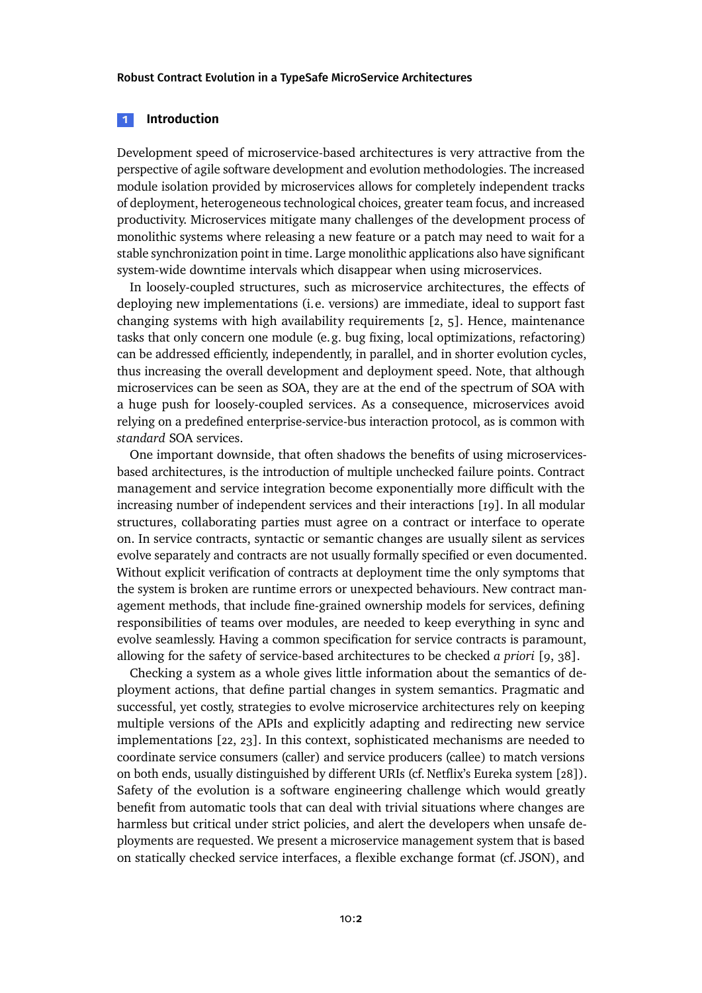### **1 Introduction**

Development speed of microservice-based architectures is very attractive from the perspective of agile software development and evolution methodologies. The increased module isolation provided by microservices allows for completely independent tracks of deployment, heterogeneous technological choices, greater team focus, and increased productivity. Microservices mitigate many challenges of the development process of monolithic systems where releasing a new feature or a patch may need to wait for a stable synchronization point in time. Large monolithic applications also have significant system-wide downtime intervals which disappear when using microservices.

In loosely-coupled structures, such as microservice architectures, the effects of deploying new implementations (i.e. versions) are immediate, ideal to support fast changing systems with high availability requirements [\[2,](#page-28-0) [5\]](#page-28-1). Hence, maintenance tasks that only concern one module (e.g. bug fixing, local optimizations, refactoring) can be addressed efficiently, independently, in parallel, and in shorter evolution cycles, thus increasing the overall development and deployment speed. Note, that although microservices can be seen as SOA, they are at the end of the spectrum of SOA with a huge push for loosely-coupled services. As a consequence, microservices avoid relying on a predefined enterprise-service-bus interaction protocol, as is common with *standard* SOA services.

One important downside, that often shadows the benefits of using microservicesbased architectures, is the introduction of multiple unchecked failure points. Contract management and service integration become exponentially more difficult with the increasing number of independent services and their interactions [\[19\]](#page-29-0). In all modular structures, collaborating parties must agree on a contract or interface to operate on. In service contracts, syntactic or semantic changes are usually silent as services evolve separately and contracts are not usually formally specified or even documented. Without explicit verification of contracts at deployment time the only symptoms that the system is broken are runtime errors or unexpected behaviours. New contract management methods, that include fine-grained ownership models for services, defining responsibilities of teams over modules, are needed to keep everything in sync and evolve seamlessly. Having a common specification for service contracts is paramount, allowing for the safety of service-based architectures to be checked *a priori* [\[9,](#page-28-2) [38\]](#page-31-0).

Checking a system as a whole gives little information about the semantics of deployment actions, that define partial changes in system semantics. Pragmatic and successful, yet costly, strategies to evolve microservice architectures rely on keeping multiple versions of the APIs and explicitly adapting and redirecting new service implementations [\[22,](#page-30-0) [23\]](#page-30-1). In this context, sophisticated mechanisms are needed to coordinate service consumers (caller) and service producers (callee) to match versions on both ends, usually distinguished by different URIs (cf. Netflix's Eureka system [\[28\]](#page-30-2)). Safety of the evolution is a software engineering challenge which would greatly benefit from automatic tools that can deal with trivial situations where changes are harmless but critical under strict policies, and alert the developers when unsafe deployments are requested. We present a microservice management system that is based on statically checked service interfaces, a flexible exchange format (cf. JSON), and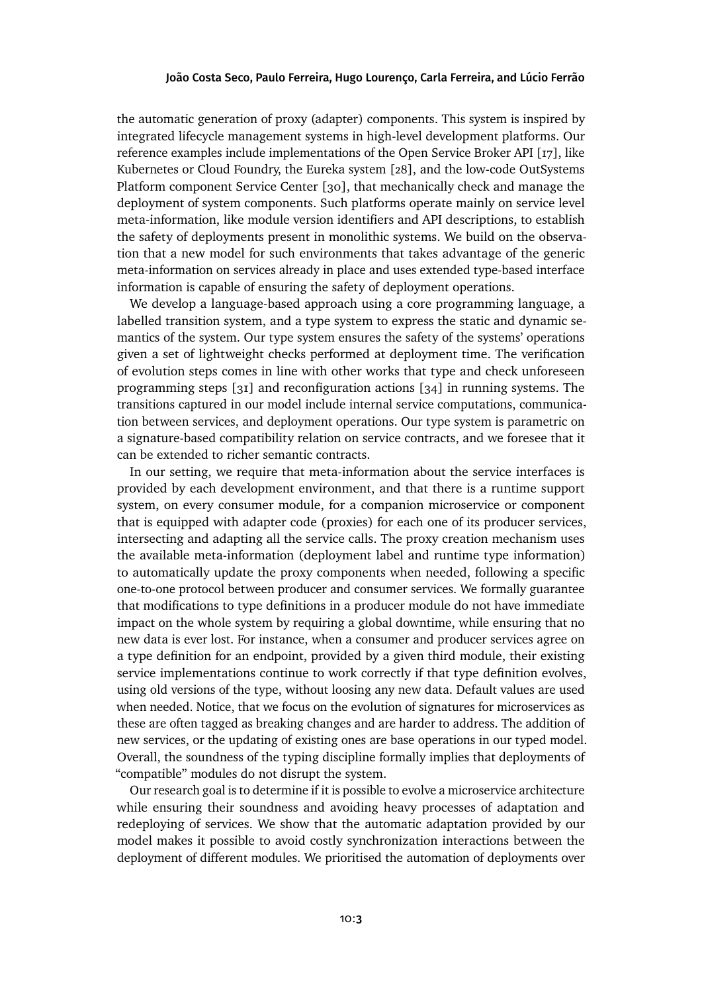the automatic generation of proxy (adapter) components. This system is inspired by integrated lifecycle management systems in high-level development platforms. Our reference examples include implementations of the Open Service Broker API [\[17\]](#page-29-1), like Kubernetes or Cloud Foundry, the Eureka system [\[28\]](#page-30-2), and the low-code OutSystems Platform component Service Center [\[30\]](#page-30-3), that mechanically check and manage the deployment of system components. Such platforms operate mainly on service level meta-information, like module version identifiers and API descriptions, to establish the safety of deployments present in monolithic systems. We build on the observation that a new model for such environments that takes advantage of the generic meta-information on services already in place and uses extended type-based interface information is capable of ensuring the safety of deployment operations.

We develop a language-based approach using a core programming language, a labelled transition system, and a type system to express the static and dynamic semantics of the system. Our type system ensures the safety of the systems' operations given a set of lightweight checks performed at deployment time. The verification of evolution steps comes in line with other works that type and check unforeseen programming steps [\[31\]](#page-30-4) and reconfiguration actions [\[34\]](#page-31-1) in running systems. The transitions captured in our model include internal service computations, communication between services, and deployment operations. Our type system is parametric on a signature-based compatibility relation on service contracts, and we foresee that it can be extended to richer semantic contracts.

In our setting, we require that meta-information about the service interfaces is provided by each development environment, and that there is a runtime support system, on every consumer module, for a companion microservice or component that is equipped with adapter code (proxies) for each one of its producer services, intersecting and adapting all the service calls. The proxy creation mechanism uses the available meta-information (deployment label and runtime type information) to automatically update the proxy components when needed, following a specific one-to-one protocol between producer and consumer services. We formally guarantee that modifications to type definitions in a producer module do not have immediate impact on the whole system by requiring a global downtime, while ensuring that no new data is ever lost. For instance, when a consumer and producer services agree on a type definition for an endpoint, provided by a given third module, their existing service implementations continue to work correctly if that type definition evolves, using old versions of the type, without loosing any new data. Default values are used when needed. Notice, that we focus on the evolution of signatures for microservices as these are often tagged as breaking changes and are harder to address. The addition of new services, or the updating of existing ones are base operations in our typed model. Overall, the soundness of the typing discipline formally implies that deployments of "compatible" modules do not disrupt the system.

Our research goal is to determine if it is possible to evolve a microservice architecture while ensuring their soundness and avoiding heavy processes of adaptation and redeploying of services. We show that the automatic adaptation provided by our model makes it possible to avoid costly synchronization interactions between the deployment of different modules. We prioritised the automation of deployments over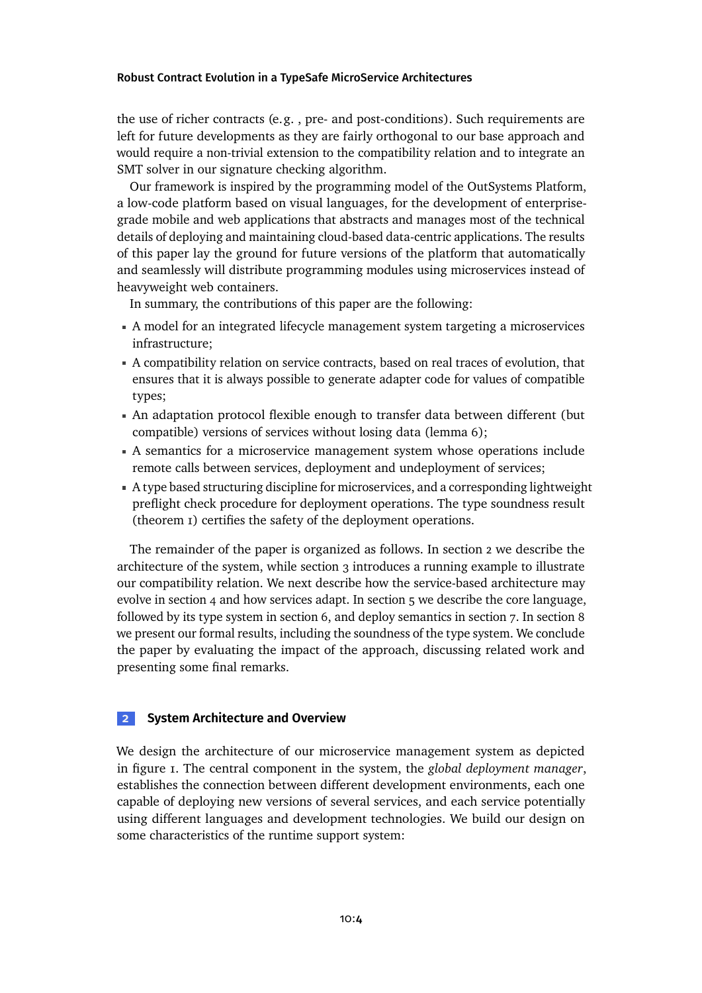the use of richer contracts (e.g. , pre- and post-conditions). Such requirements are left for future developments as they are fairly orthogonal to our base approach and would require a non-trivial extension to the compatibility relation and to integrate an SMT solver in our signature checking algorithm.

Our framework is inspired by the programming model of the OutSystems Platform, a low-code platform based on visual languages, for the development of enterprisegrade mobile and web applications that abstracts and manages most of the technical details of deploying and maintaining cloud-based data-centric applications. The results of this paper lay the ground for future versions of the platform that automatically and seamlessly will distribute programming modules using microservices instead of heavyweight web containers.

In summary, the contributions of this paper are the following:

- A model for an integrated lifecycle management system targeting a microservices infrastructure;
- A compatibility relation on service contracts, based on real traces of evolution, that ensures that it is always possible to generate adapter code for values of compatible types;
- An adaptation protocol flexible enough to transfer data between different (but compatible) versions of services without losing data [\(lemma 6\)](#page-21-0);
- A semantics for a microservice management system whose operations include remote calls between services, deployment and undeployment of services;
- A type based structuring discipline for microservices, and a corresponding lightweight preflight check procedure for deployment operations. The type soundness result [\(theorem 1\)](#page-21-1) certifies the safety of the deployment operations.

The remainder of the paper is organized as follows. In [section 2](#page-3-0) we describe the architecture of the system, while [section 3](#page-5-0) introduces a running example to illustrate our compatibility relation. We next describe how the service-based architecture may evolvein [section 4](#page-8-0) and how services adapt. In section  $\overline{5}$  we describe the core language, followed by its type system in [section 6,](#page-12-0) and deploy semanticsin [section 7.](#page-16-0)In [section 8](#page-19-0) we present our formal results, including the soundness of the type system. We conclude the paper by evaluating the impact of the approach, discussing related work and presenting some final remarks.

## <span id="page-3-0"></span>**2 System Architecture and Overview**

We design the architecture of our microservice management system as depicted in [figure 1.](#page-4-0) The central component in the system, the *global deployment manager*, establishes the connection between different development environments, each one capable of deploying new versions of several services, and each service potentially using different languages and development technologies. We build our design on some characteristics of the runtime support system: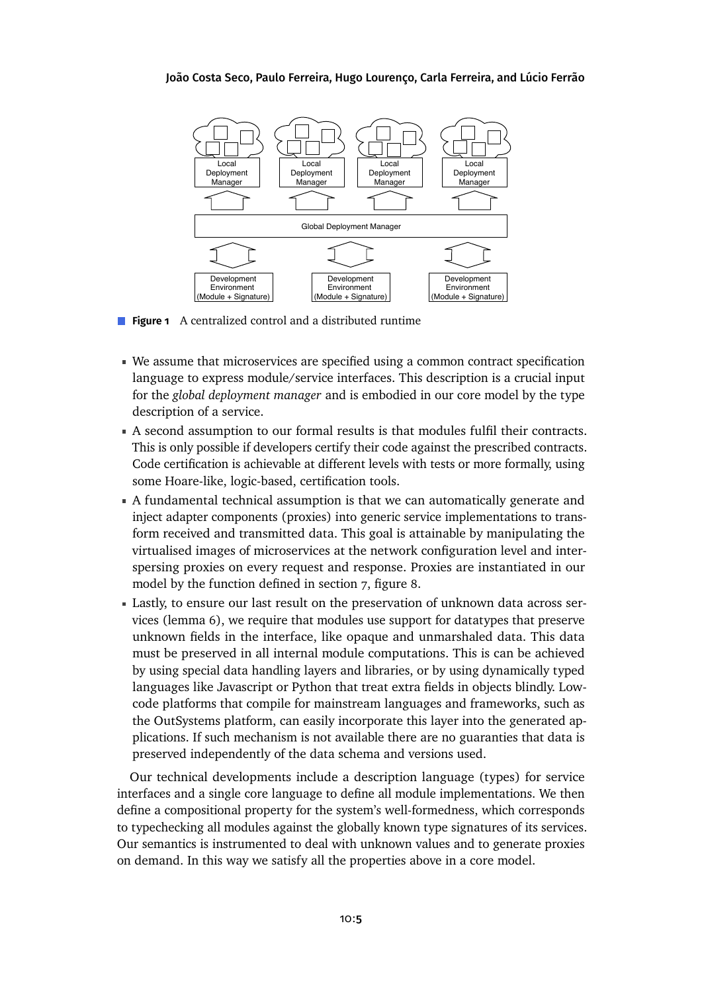<span id="page-4-0"></span>

**Figure 1** A centralized control and a distributed runtime

- We assume that microservices are specified using a common contract specification language to express module/service interfaces. This description is a crucial input for the *global deployment manager* and is embodied in our core model by the type description of a service.
- A second assumption to our formal results is that modules fulfil their contracts. This is only possible if developers certify their code against the prescribed contracts. Code certification is achievable at different levels with tests or more formally, using some Hoare-like, logic-based, certification tools.
- A fundamental technical assumption is that we can automatically generate and inject adapter components (proxies) into generic service implementations to transform received and transmitted data. This goal is attainable by manipulating the virtualised images of microservices at the network configuration level and interspersing proxies on every request and response. Proxies are instantiated in our model by the function defined in [section 7,](#page-16-0) [figure 8.](#page-18-0)
- Lastly, to ensure our last result on the preservation of unknown data across services [\(lemma 6\)](#page-21-0), we require that modules use support for datatypes that preserve unknown fields in the interface, like opaque and unmarshaled data. This data must be preserved in all internal module computations. This is can be achieved by using special data handling layers and libraries, or by using dynamically typed languages like Javascript or Python that treat extra fields in objects blindly. Lowcode platforms that compile for mainstream languages and frameworks, such as the OutSystems platform, can easily incorporate this layer into the generated applications. If such mechanism is not available there are no guaranties that data is preserved independently of the data schema and versions used.

Our technical developments include a description language (types) for service interfaces and a single core language to define all module implementations. We then define a compositional property for the system's well-formedness, which corresponds to typechecking all modules against the globally known type signatures of its services. Our semantics is instrumented to deal with unknown values and to generate proxies on demand. In this way we satisfy all the properties above in a core model.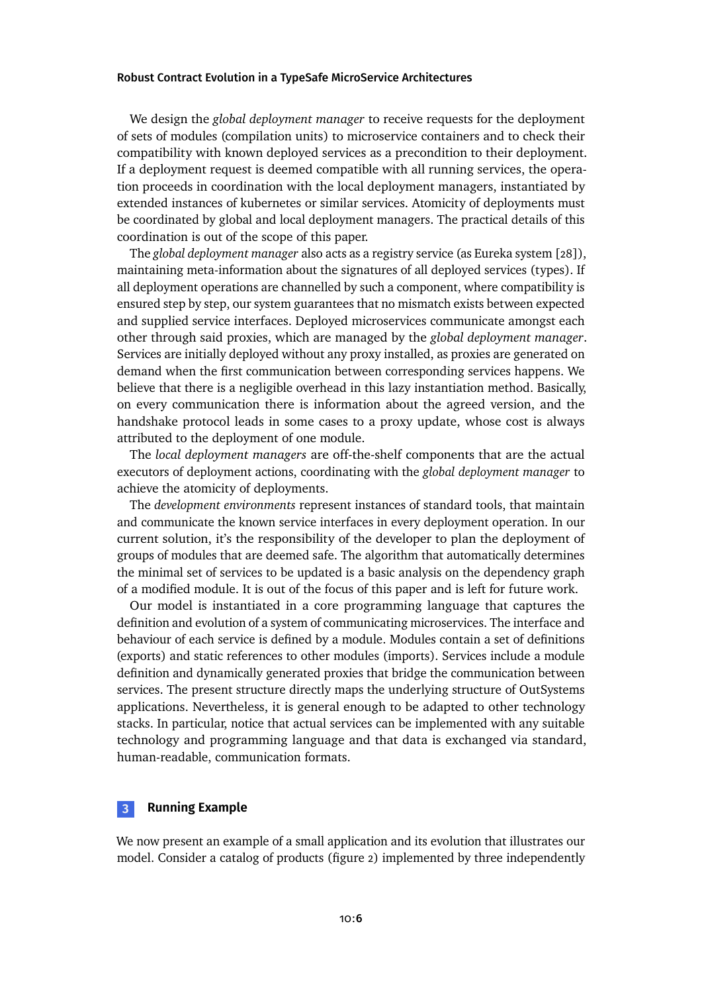We design the *global deployment manager* to receive requests for the deployment of sets of modules (compilation units) to microservice containers and to check their compatibility with known deployed services as a precondition to their deployment. If a deployment request is deemed compatible with all running services, the operation proceeds in coordination with the local deployment managers, instantiated by extended instances of kubernetes or similar services. Atomicity of deployments must be coordinated by global and local deployment managers. The practical details of this coordination is out of the scope of this paper.

The *global deployment manager* also acts as a registry service (as Eureka system [\[28\]](#page-30-2)), maintaining meta-information about the signatures of all deployed services (types). If all deployment operations are channelled by such a component, where compatibility is ensured step by step, our system guarantees that no mismatch exists between expected and supplied service interfaces. Deployed microservices communicate amongst each other through said proxies, which are managed by the *global deployment manager*. Services are initially deployed without any proxy installed, as proxies are generated on demand when the first communication between corresponding services happens. We believe that there is a negligible overhead in this lazy instantiation method. Basically, on every communication there is information about the agreed version, and the handshake protocol leads in some cases to a proxy update, whose cost is always attributed to the deployment of one module.

The *local deployment managers* are off-the-shelf components that are the actual executors of deployment actions, coordinating with the *global deployment manager* to achieve the atomicity of deployments.

The *development environments* represent instances of standard tools, that maintain and communicate the known service interfaces in every deployment operation. In our current solution, it's the responsibility of the developer to plan the deployment of groups of modules that are deemed safe. The algorithm that automatically determines the minimal set of services to be updated is a basic analysis on the dependency graph of a modified module. It is out of the focus of this paper and is left for future work.

Our model is instantiated in a core programming language that captures the definition and evolution of a system of communicating microservices. The interface and behaviour of each service is defined by a module. Modules contain a set of definitions (exports) and static references to other modules (imports). Services include a module definition and dynamically generated proxies that bridge the communication between services. The present structure directly maps the underlying structure of OutSystems applications. Nevertheless, it is general enough to be adapted to other technology stacks. In particular, notice that actual services can be implemented with any suitable technology and programming language and that data is exchanged via standard, human-readable, communication formats.

# <span id="page-5-0"></span>**3 Running Example**

We now present an example of a small application and its evolution that illustrates our model. Consider a catalog of products [\(figure 2\)](#page-6-0) implemented by three independently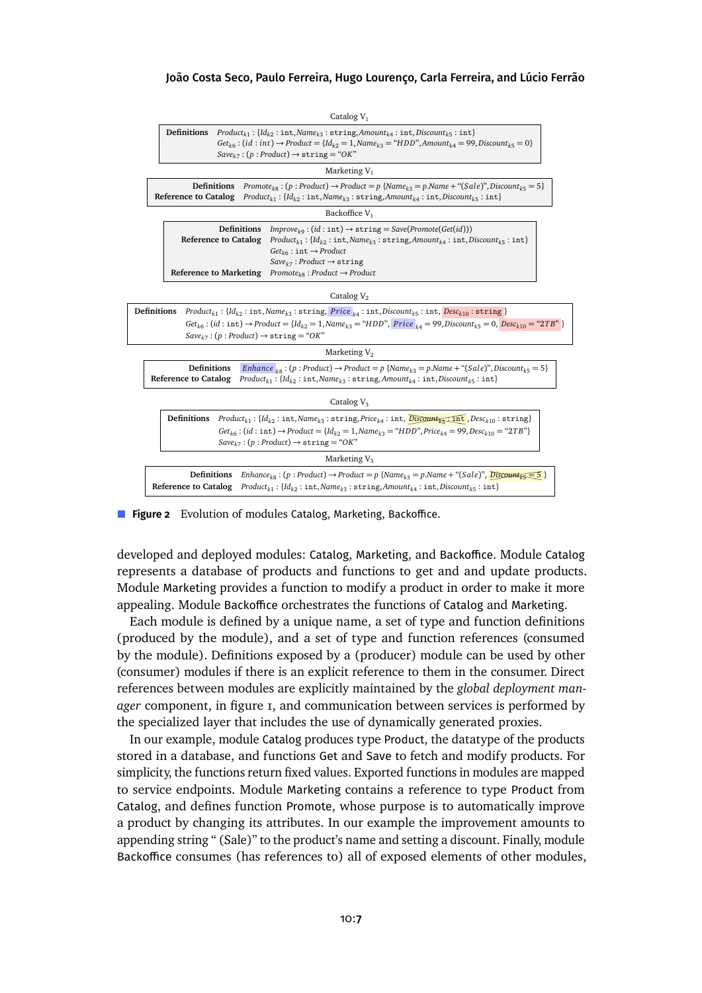<span id="page-6-0"></span>

| Catalog $V_1$                                                                                                                                                                                                                                                                                                                                                                                                             |  |  |  |  |  |  |  |
|---------------------------------------------------------------------------------------------------------------------------------------------------------------------------------------------------------------------------------------------------------------------------------------------------------------------------------------------------------------------------------------------------------------------------|--|--|--|--|--|--|--|
| Definitions<br>$Product_{k1}: \{Id_{k2}: \text{int}, Name_{k3}: \text{string}, Amount_{k4}: \text{int}, Discount_{k5}: \text{int}\}$<br>$Get_{k6} : (id : int) \rightarrow Product = \{ Id_{k2} = 1, Name_{k3} = "HDD", Amount_{k4} = 99, Discount_{k5} = 0 \}$<br>$Save_{k7}$ : (p: Product) $\rightarrow$ string = "OK"                                                                                                 |  |  |  |  |  |  |  |
| Marketing $V_1$                                                                                                                                                                                                                                                                                                                                                                                                           |  |  |  |  |  |  |  |
| $Promote_{k}$ ; (p: Product) $\rightarrow$ Product = p {Name <sub>k3</sub> = p.Name + "(Sale)", Discount <sub>k5</sub> = 5}<br>Definitions<br><b>Reference to Catalog</b> $Product_{k1}$ : { $Id_{k2}$ : int, Name <sub>k3</sub> : string, Amount <sub>k4</sub> : int, Discount <sub>k5</sub> : int}                                                                                                                      |  |  |  |  |  |  |  |
| Backoffice V <sub>1</sub>                                                                                                                                                                                                                                                                                                                                                                                                 |  |  |  |  |  |  |  |
| Definitions<br>$Improve_{k\alpha}$ : (id: int) $\rightarrow$ string = Save(Promote(Get(id)))<br><b>Reference to Catalog</b><br>$Product_{k1}: \{Id_{k2}: \text{int}, Name_{k3}: \text{string}, Amount_{k4}: \text{int}, Discount_{k5}: \text{int}\}$<br>$Get_{k6}: \text{int} \rightarrow Product$<br>$Save_{k7}$ : Product $\rightarrow$ string<br>Reference to Marketing $Promote_{k8}$ : Product $\rightarrow$ Product |  |  |  |  |  |  |  |
| Catalog $V_2$                                                                                                                                                                                                                                                                                                                                                                                                             |  |  |  |  |  |  |  |
| <b>Definitions</b> $Product_{k1}$ : $\{Id_{k2}$ : int, $Name_{k3}$ : string, Price $_{k4}$ : int, Discount <sub>k5</sub> : int, $Desc_{k10}$ : string }<br>$Get_{k6}$ : (id: int) $\rightarrow$ Product = {Id <sub>k2</sub> = 1, Name <sub>k3</sub> = "HDD", Price <sub>k4</sub> = 99, Discount <sub>k5</sub> = 0, Desc <sub>k10</sub> = "2TB" }<br>$Save_{k7}$ : $(p:Product) \rightarrow string = "OK"$                 |  |  |  |  |  |  |  |
| Marketing $V_2$                                                                                                                                                                                                                                                                                                                                                                                                           |  |  |  |  |  |  |  |
| <b>Definitions</b><br>Enhance $_{18}$ : (p: Product) $\rightarrow$ Product = p {Name <sub>k3</sub> = p.Name + "(Sale)", Discount <sub>k5</sub> = 5}<br><b>Reference to Catalog</b><br>$Product_{k1}: \{Id_{k2}: \text{int}, Name_{k3}: \text{string}, Amount_{k4}: \text{int}, Discount_{k5}: \text{int}\}$                                                                                                               |  |  |  |  |  |  |  |
| Catalog $V_3$                                                                                                                                                                                                                                                                                                                                                                                                             |  |  |  |  |  |  |  |
| <b>Definitions</b> $Product_{k1}: \{Id_{k2}: \text{int}, Name_{k3}: \text{string}, Price_{k4}: \text{int}, \overline{Discount}_{k5} \cdot \overline{\text{int}}, Desc_{k10}: \text{string}\}$<br>$Get_{k6}$ : (id: int) $\rightarrow$ Product = {Id <sub>k2</sub> = 1, Name <sub>k3</sub> = "HDD", Price <sub>k4</sub> = 99, Desc <sub>k10</sub> = "2TB"}<br>$Save_{k7}$ : $(p:Product) \rightarrow string = "OK"$        |  |  |  |  |  |  |  |
| Marketing $V_3$                                                                                                                                                                                                                                                                                                                                                                                                           |  |  |  |  |  |  |  |
| $Enhance_{k}$ : (p: Product) $\rightarrow$ Product = p {Name <sub>k3</sub> = p.Name + "(Sale)", $\overline{Disc}$<br>Definitions<br><b>Reference to Catalog</b><br>$Product_{k1}: \{Id_{k2}: \text{int}, Name_{k3}: \text{string}, Amount_{k4}: \text{int}, Discount_{k5}: \text{int}\}$                                                                                                                                  |  |  |  |  |  |  |  |

**Figure 2** Evolution of modules Catalog, Marketing, Backoffice.

developed and deployed modules: Catalog, Marketing, and Backoffice. Module Catalog represents a database of products and functions to get and and update products. Module Marketing provides a function to modify a product in order to make it more appealing. Module Backoffice orchestrates the functions of Catalog and Marketing.

Each module is defined by a unique name, a set of type and function definitions (produced by the module), and a set of type and function references (consumed by the module). Definitions exposed by a (producer) module can be used by other (consumer) modules if there is an explicit reference to them in the consumer. Direct references between modules are explicitly maintained by the *global deployment manager* component, in [figure 1,](#page-4-0) and communication between services is performed by the specialized layer that includes the use of dynamically generated proxies.

In our example, module Catalog produces type Product, the datatype of the products stored in a database, and functions Get and Save to fetch and modify products. For simplicity, the functions return fixed values. Exported functions in modules are mapped to service endpoints. Module Marketing contains a reference to type Product from Catalog, and defines function Promote, whose purpose is to automatically improve a product by changing its attributes. In our example the improvement amounts to appending string " (Sale)" to the product's name and setting a discount. Finally, module Backoffice consumes (has references to) all of exposed elements of other modules,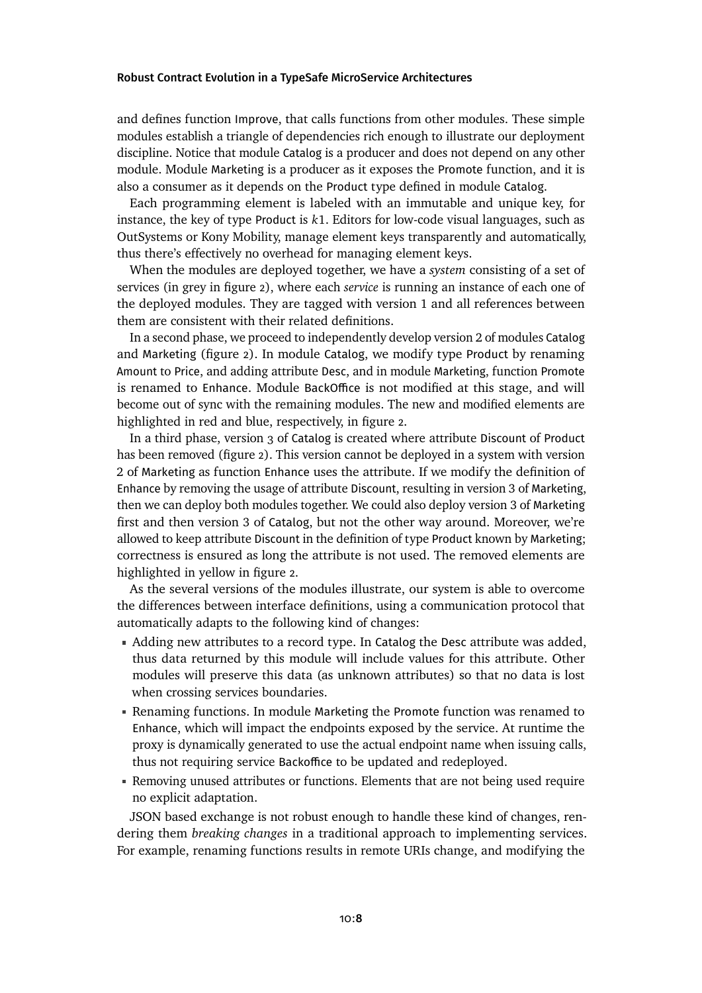and defines function Improve, that calls functions from other modules. These simple modules establish a triangle of dependencies rich enough to illustrate our deployment discipline. Notice that module Catalog is a producer and does not depend on any other module. Module Marketing is a producer as it exposes the Promote function, and it is also a consumer as it depends on the Product type defined in module Catalog.

Each programming element is labeled with an immutable and unique key, for instance, the key of type Product is *k*1. Editors for low-code visual languages, such as OutSystems or Kony Mobility, manage element keys transparently and automatically, thus there's effectively no overhead for managing element keys.

When the modules are deployed together, we have a *system* consisting of a set of services (in grey in [figure 2\)](#page-6-0), where each *service* is running an instance of each one of the deployed modules. They are tagged with version 1 and all references between them are consistent with their related definitions.

In a second phase, we proceed to independently develop version 2 of modules Catalog and Marketing [\(figure 2\)](#page-6-0). In module Catalog, we modify type Product by renaming Amount to Price, and adding attribute Desc, and in module Marketing, function Promote is renamed to Enhance. Module BackOffice is not modified at this stage, and will become out of sync with the remaining modules. The new and modified elements are highlighted in red and blue, respectively, in [figure 2.](#page-6-0)

In a third phase, version 3 of Catalog is created where attribute Discount of Product has been removed [\(figure 2\)](#page-6-0). This version cannot be deployed in a system with version 2 of Marketing as function Enhance uses the attribute. If we modify the definition of Enhance by removing the usage of attribute Discount, resulting in version 3 of Marketing, then we can deploy both modules together. We could also deploy version 3 of Marketing first and then version 3 of Catalog, but not the other way around. Moreover, we're allowed to keep attribute Discount in the definition of type Product known by Marketing; correctness is ensured as long the attribute is not used. The removed elements are highlighted in yellow in [figure 2.](#page-6-0)

As the several versions of the modules illustrate, our system is able to overcome the differences between interface definitions, using a communication protocol that automatically adapts to the following kind of changes:

- Adding new attributes to a record type. In Catalog the Desc attribute was added, thus data returned by this module will include values for this attribute. Other modules will preserve this data (as unknown attributes) so that no data is lost when crossing services boundaries.
- Renaming functions. In module Marketing the Promote function was renamed to Enhance, which will impact the endpoints exposed by the service. At runtime the proxy is dynamically generated to use the actual endpoint name when issuing calls, thus not requiring service Backoffice to be updated and redeployed.
- Removing unused attributes or functions. Elements that are not being used require no explicit adaptation.

JSON based exchange is not robust enough to handle these kind of changes, rendering them *breaking changes* in a traditional approach to implementing services. For example, renaming functions results in remote URIs change, and modifying the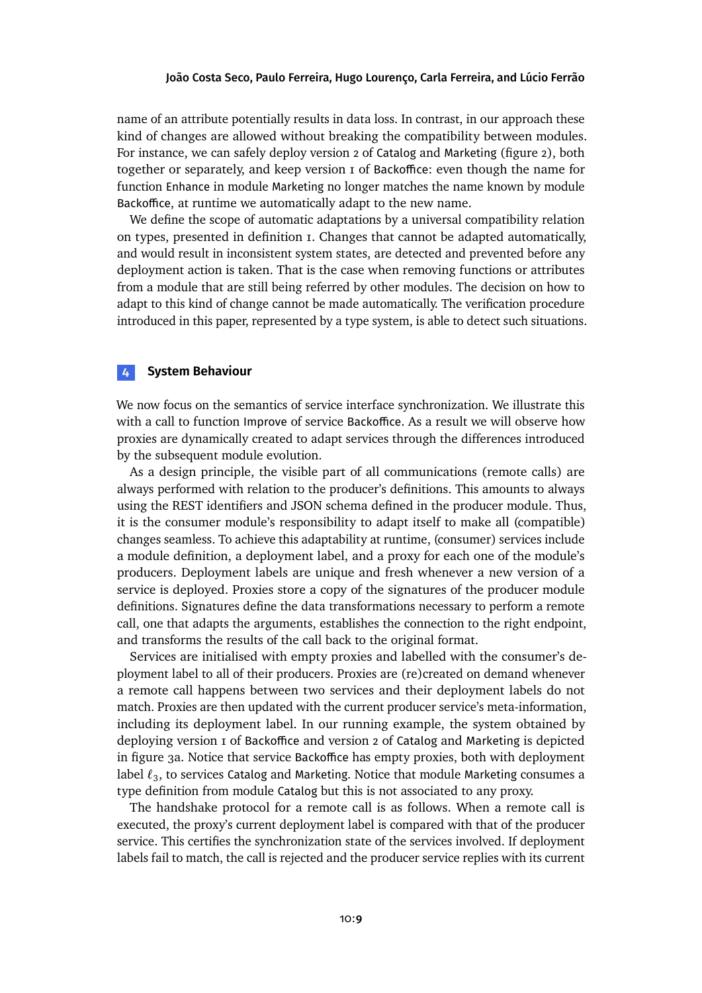name of an attribute potentially results in data loss. In contrast, in our approach these kind of changes are allowed without breaking the compatibility between modules. For instance, we can safely deploy version 2 of Catalog and Marketing [\(figure 2\)](#page-6-0), both together or separately, and keep version 1 of Backoffice: even though the name for function Enhance in module Marketing no longer matches the name known by module Backoffice, at runtime we automatically adapt to the new name.

We define the scope of automatic adaptations by a universal compatibility relation on types, presented in [definition 1.](#page-14-0) Changes that cannot be adapted automatically, and would result in inconsistent system states, are detected and prevented before any deployment action is taken. That is the case when removing functions or attributes from a module that are still being referred by other modules. The decision on how to adapt to this kind of change cannot be made automatically. The verification procedure introduced in this paper, represented by a type system, is able to detect such situations.

# <span id="page-8-0"></span>**4 System Behaviour**

We now focus on the semantics of service interface synchronization. We illustrate this with a call to function Improve of service Backoffice. As a result we will observe how proxies are dynamically created to adapt services through the differences introduced by the subsequent module evolution.

As a design principle, the visible part of all communications (remote calls) are always performed with relation to the producer's definitions. This amounts to always using the REST identifiers and JSON schema defined in the producer module. Thus, it is the consumer module's responsibility to adapt itself to make all (compatible) changes seamless. To achieve this adaptability at runtime, (consumer) services include a module definition, a deployment label, and a proxy for each one of the module's producers. Deployment labels are unique and fresh whenever a new version of a service is deployed. Proxies store a copy of the signatures of the producer module definitions. Signatures define the data transformations necessary to perform a remote call, one that adapts the arguments, establishes the connection to the right endpoint, and transforms the results of the call back to the original format.

Services are initialised with empty proxies and labelled with the consumer's deployment label to all of their producers. Proxies are (re)created on demand whenever a remote call happens between two services and their deployment labels do not match. Proxies are then updated with the current producer service's meta-information, including its deployment label. In our running example, the system obtained by deploying version 1 of Backoffice and version 2 of Catalog and Marketing is depicted in [figure 3a.](#page-9-1) Notice that service Backoffice has empty proxies, both with deployment label  $\ell_3$ , to services Catalog and Marketing. Notice that module Marketing consumes a type definition from module Catalog but this is not associated to any proxy.

The handshake protocol for a remote call is as follows. When a remote call is executed, the proxy's current deployment label is compared with that of the producer service. This certifies the synchronization state of the services involved. If deployment labels fail to match, the call is rejected and the producer service replies with its current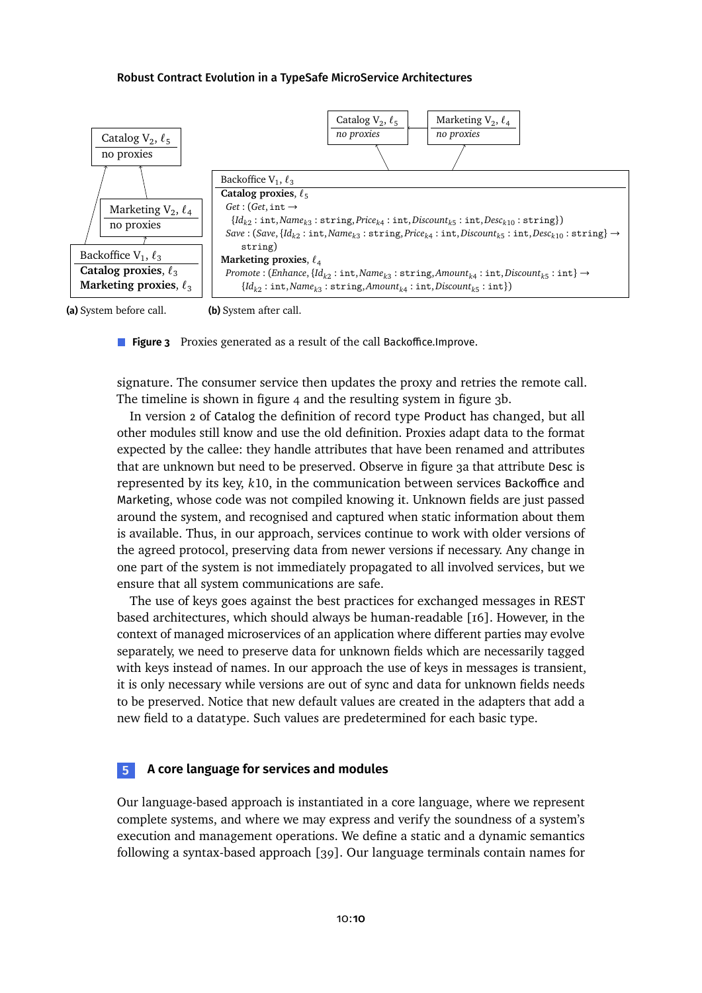<span id="page-9-1"></span>

**(a)** System before call.

**(b)** System after call.

**Figure 3** Proxies generated as a result of the call Backoffice. Improve.

signature. The consumer service then updates the proxy and retries the remote call. The timeline is shown in [figure 4](#page-10-0) and the resulting system in [figure 3b.](#page-9-1)

In version 2 of Catalog the definition of record type Product has changed, but all other modules still know and use the old definition. Proxies adapt data to the format expected by the callee: they handle attributes that have been renamed and attributes that are unknown but need to be preserved. Observein [figure 3a](#page-9-1) that attribute Desc is represented by its key, *k*10, in the communication between services Backoffice and Marketing, whose code was not compiled knowing it. Unknown fields are just passed around the system, and recognised and captured when static information about them is available. Thus, in our approach, services continue to work with older versions of the agreed protocol, preserving data from newer versions if necessary. Any change in one part of the system is not immediately propagated to all involved services, but we ensure that all system communications are safe.

The use of keys goes against the best practices for exchanged messages in REST based architectures, which should always be human-readable [\[16\]](#page-29-2). However, in the context of managed microservices of an application where different parties may evolve separately, we need to preserve data for unknown fields which are necessarily tagged with keys instead of names. In our approach the use of keys in messages is transient, it is only necessary while versions are out of sync and data for unknown fields needs to be preserved. Notice that new default values are created in the adapters that add a new field to a datatype. Such values are predetermined for each basic type.

# <span id="page-9-0"></span>**5 A core language for services and modules**

Our language-based approach is instantiated in a core language, where we represent complete systems, and where we may express and verify the soundness of a system's execution and management operations. We define a static and a dynamic semantics following a syntax-based approach [\[39\]](#page-31-2). Our language terminals contain names for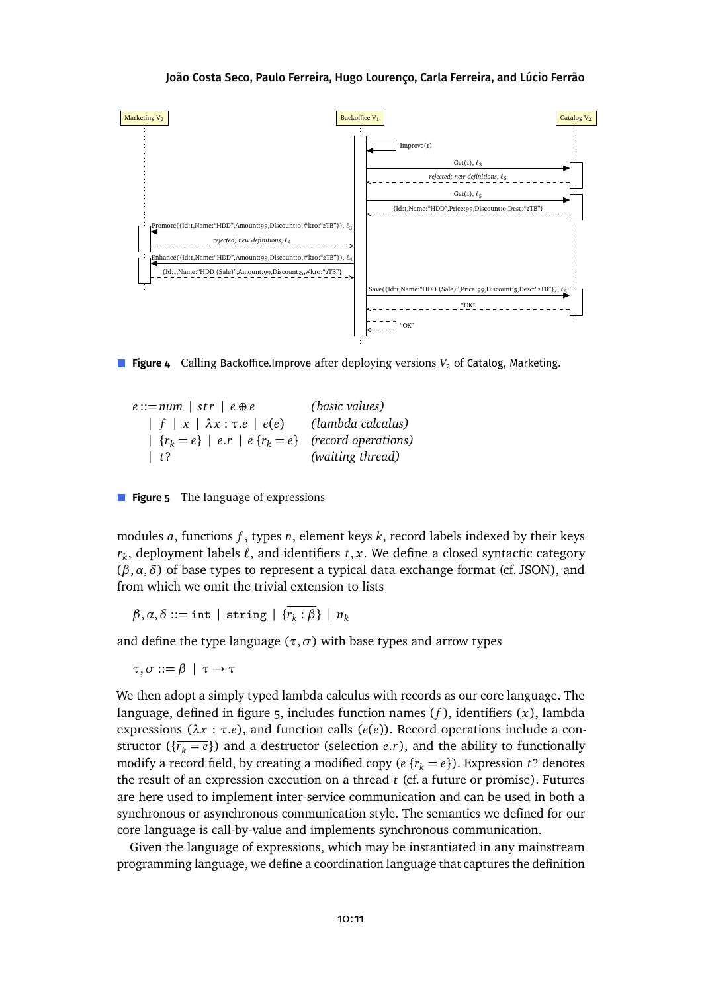<span id="page-10-0"></span>

<span id="page-10-1"></span>**Figure 4** Calling Backoffice.Improve after deploying versions  $V_2$  of Catalog, Marketing.

*e* ::=*num* | *s t r* | *e* ⊕ *e (basic values)* | *f* | *x* | *λx* : *τ*.*e* | *e*(*e*) *(lambda calculus)* |  $\{r_k = e\}$  |  $e.r$  |  $e \{r_k = e\}$  (record operations) | *t*? *(waiting thread)*

**Figure 5** The language of expressions

modules *a*, functions *f* , types *n*, element keys *k*, record labels indexed by their keys  $r_k$ , deployment labels  $\ell$ , and identifiers  $t,x.$  We define a closed syntactic category (*β*,*α*,*δ*) of base types to represent a typical data exchange format (cf. JSON), and from which we omit the trivial extension to lists

 $\beta$ , $\alpha$ , $\delta ::=$  int | string | { $\overline{r_k:\beta}$ } |  $n_k$ 

and define the type language ( $\tau$ , $\sigma$ ) with base types and arrow types

*τ*,*σ* ::= *β* | *τ* → *τ*

We then adopt a simply typed lambda calculus with records as our core language. The language, defined in figure  $5$ , includes function names  $(f)$ , identifiers  $(x)$ , lambda expressions (*λx* : *τ*.*e*), and function calls (*e*(*e*)). Record operations include a constructor ( $\{\overline{r_k = e}\}$ ) and a destructor (selection *e.r*), and the ability to functionally modify a record field, by creating a modified copy ( $e \{r_k = e\}$ ). Expression *t*? denotes the result of an expression execution on a thread *t* (cf. a future or promise). Futures are here used to implement inter-service communication and can be used in both a synchronous or asynchronous communication style. The semantics we defined for our core language is call-by-value and implements synchronous communication.

Given the language of expressions, which may be instantiated in any mainstream programming language, we define a coordination language that captures the definition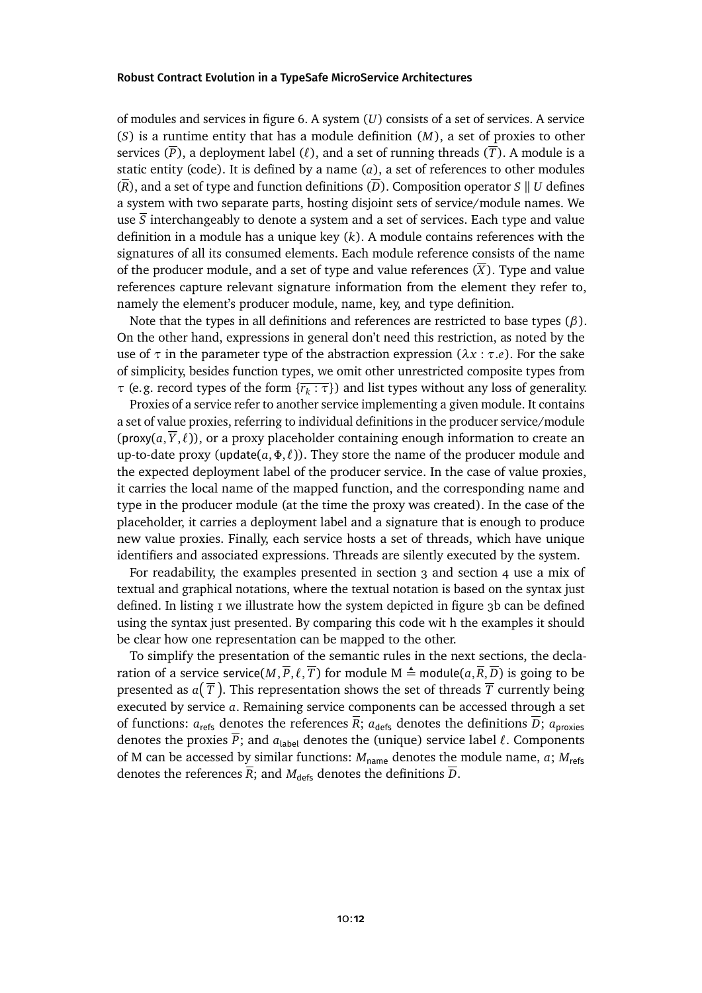of modules and servicesin [figure 6.](#page-12-1) A system (*U*) consists of a set of services. A service (*S*) is a runtime entity that has a module definition (*M*), a set of proxies to other services  $(\overline{P})$ , a deployment label  $(\ell)$ , and a set of running threads  $(\overline{T})$ . A module is a static entity (code). It is defined by a name (*a*), a set of references to other modules  $(\overline{R})$ , and a set of type and function definitions  $(\overline{D})$ . Composition operator *S* || *U* defines a system with two separate parts, hosting disjoint sets of service/module names. We use  $\overline{S}$  interchangeably to denote a system and a set of services. Each type and value definition in a module has a unique key (*k*). A module contains references with the signatures of all its consumed elements. Each module reference consists of the name of the producer module, and a set of type and value references  $(\overline{X})$ . Type and value references capture relevant signature information from the element they refer to, namely the element's producer module, name, key, and type definition.

Note that the types in all definitions and references are restricted to base types (*β*). On the other hand, expressions in general don't need this restriction, as noted by the use of *τ* in the parameter type of the abstraction expression (*λx* : *τ*.*e*). For the sake of simplicity, besides function types, we omit other unrestricted composite types from *τ* (e.g. record types of the form {*r<sup>k</sup>* : *τ*}) and list types without any loss of generality.

Proxies of a service refer to another service implementing a given module. It contains a set of value proxies, referring to individual definitions in the producer service/module (proxy( $a, \overline{Y}, \ell$ )), or a proxy placeholder containing enough information to create an up-to-date proxy (update( $a, \Phi, \ell$ )). They store the name of the producer module and the expected deployment label of the producer service. In the case of value proxies, it carries the local name of the mapped function, and the corresponding name and type in the producer module (at the time the proxy was created). In the case of the placeholder, it carries a deployment label and a signature that is enough to produce new value proxies. Finally, each service hosts a set of threads, which have unique identifiers and associated expressions. Threads are silently executed by the system.

For readability, the examples presented in [section 3](#page-5-0) and [section 4](#page-8-0) use a mix of textual and graphical notations, where the textual notation is based on the syntax just defined. In listing I we illustrate how the system depicted in [figure 3b](#page-9-1) can be defined using the syntax just presented. By comparing this code wit h the examples it should be clear how one representation can be mapped to the other.

To simplify the presentation of the semantic rules in the next sections, the declaration of a service service( $M, \overline{P}, \ell, \overline{T}$ ) for module  $M \triangleq \text{module}(a, \overline{R}, \overline{D})$  is going to be presented as  $a(\, \overline{\!T} \,)$ . This representation shows the set of threads  $\overline{\!T}$  currently being executed by service *a*. Remaining service components can be accessed through a set of functions:  $a_{\text{refs}}$  denotes the references  $\overline{R}$ ;  $a_{\text{defs}}$  denotes the definitions  $\overline{D}$ ;  $a_{\text{proxies}}$ denotes the proxies  $\overline{P}$ ; and  $a_{\text{label}}$  denotes the (unique) service label  $\ell$ . Components of M can be accessed by similar functions:  $M_{name}$  denotes the module name, *a*;  $M_{refs}$ denotes the references  $\overline{R}$ ; and  $M_{\text{defs}}$  denotes the definitions  $\overline{D}$ .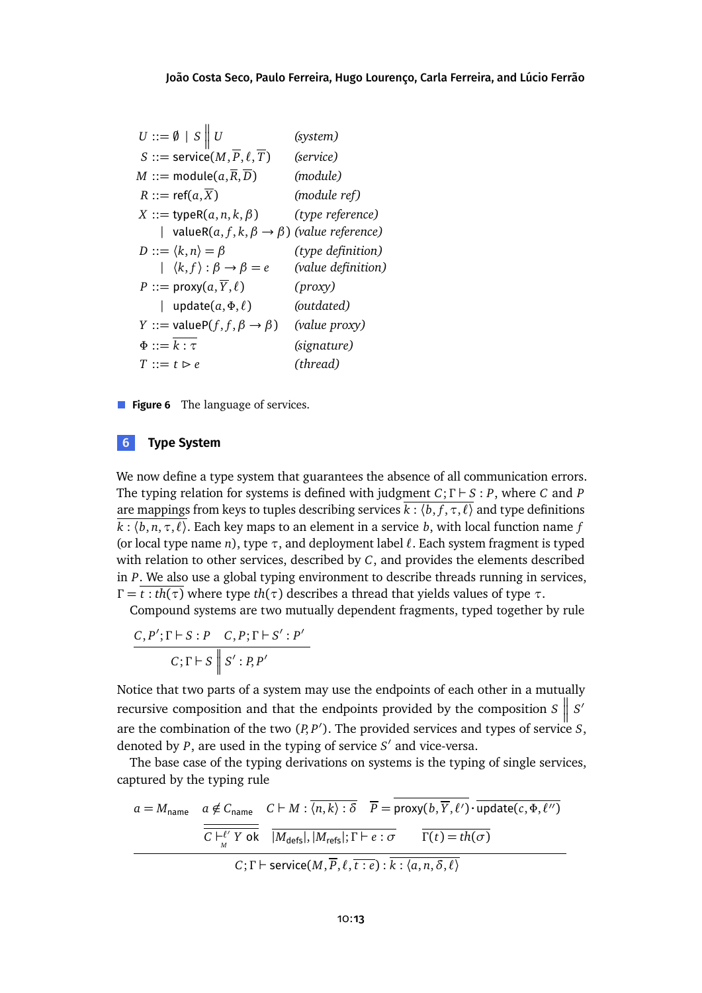<span id="page-12-1"></span>

|  |                                                   | (system)                                                                                                                                                                                                                                                                                                                                                                                                                                                                                                                             |
|--|---------------------------------------------------|--------------------------------------------------------------------------------------------------------------------------------------------------------------------------------------------------------------------------------------------------------------------------------------------------------------------------------------------------------------------------------------------------------------------------------------------------------------------------------------------------------------------------------------|
|  |                                                   | (service)                                                                                                                                                                                                                                                                                                                                                                                                                                                                                                                            |
|  |                                                   | (module)                                                                                                                                                                                                                                                                                                                                                                                                                                                                                                                             |
|  |                                                   | (module ref)                                                                                                                                                                                                                                                                                                                                                                                                                                                                                                                         |
|  |                                                   | (type reference)                                                                                                                                                                                                                                                                                                                                                                                                                                                                                                                     |
|  |                                                   |                                                                                                                                                                                                                                                                                                                                                                                                                                                                                                                                      |
|  |                                                   | (type definition)                                                                                                                                                                                                                                                                                                                                                                                                                                                                                                                    |
|  |                                                   | (value definition)                                                                                                                                                                                                                                                                                                                                                                                                                                                                                                                   |
|  |                                                   | (prows)                                                                                                                                                                                                                                                                                                                                                                                                                                                                                                                              |
|  |                                                   | (outdated)                                                                                                                                                                                                                                                                                                                                                                                                                                                                                                                           |
|  |                                                   | (value proxy)                                                                                                                                                                                                                                                                                                                                                                                                                                                                                                                        |
|  |                                                   | (signature)                                                                                                                                                                                                                                                                                                                                                                                                                                                                                                                          |
|  |                                                   | (thread)                                                                                                                                                                                                                                                                                                                                                                                                                                                                                                                             |
|  | $\Phi ::= k : \tau$<br>$T ::= t \triangleright e$ | $U ::= \emptyset \mid S \parallel U$<br>S ::= service $(M,\overline{P},\ell,\overline{T})$<br>$M ::=$ module $(a,\overline{R},\overline{D})$<br>$R ::= ref(a,\overline{X})$<br>$X ::=$ typeR $(a, n, k, \beta)$<br>  valueR $(a, f, k, \beta \rightarrow \beta)$ (value reference)<br>$D ::= \langle k,n \rangle = \beta$<br>$\downharpoonright$ $\langle k, f \rangle : \beta \rightarrow \beta = e$<br>P ::= proxy $(a, \overline{Y}, \ell)$<br>  update $(a, \Phi, \ell)$<br>$Y ::= \text{valueP}(f, f, \beta \rightarrow \beta)$ |

**Figure 6** The language of services.

### <span id="page-12-0"></span>**6 Type System**

We now define a type system that guarantees the absence of all communication errors. The typing relation for systems is defined with judgment *C*; *Γ* ` *S* : *P*, where *C* and *P* are mappings from keys to tuples describing services  $\overline{k}$  :  $\langle b, f, \tau, \ell \rangle$  and type definitions  $\overline{k}$  :  $\langle b, n, \tau, l \rangle$ . Each key maps to an element in a service *b*, with local function name *f* (or local type name *n*), type  $\tau$ , and deployment label  $\ell$ . Each system fragment is typed with relation to other services, described by *C*, and provides the elements described in *P*. We also use a global typing environment to describe threads running in services, *Γ* =  $\overline{t : th(\tau)}$  where type *th*(*τ*) describes a thread that yields values of type *τ*.

Compound systems are two mutually dependent fragments, typed together by rule

$$
\frac{C, P'; \Gamma \vdash S : P \quad C, P; \Gamma \vdash S' : P'}{C; \Gamma \vdash S \parallel S' : P, P'}
$$

Notice that two parts of a system may use the endpoints of each other in a mutually recursive composition and that the endpoints provided by the composition *S*  $\parallel$  S<sup>1</sup> are the combination of the two (P, P<sup>'</sup>). The provided services and types of service *S*, denoted by *P*, are used in the typing of service *S'* and vice-versa.

The base case of the typing derivations on systems is the typing of single services, captured by the typing rule

$$
a = M_{\text{name}} \quad a \notin C_{\text{name}} \quad C \vdash M : \overline{\langle n, k \rangle : \delta} \quad \overline{P} = \text{prox}(b, \overline{Y}, \ell') \cdot \overline{\text{update}(c, \Phi, \ell'')}
$$
  

$$
\overline{C \vdash^{\ell'}_{M} Y \text{ ok}} \quad \overline{|M_{\text{defs}}|, |M_{\text{refs}}|; \Gamma \vdash e : \sigma} \quad \overline{\Gamma(t) = th(\sigma)}
$$
  

$$
C; \Gamma \vdash \text{service}(M, \overline{P}, \ell, \overline{t : e) : \overline{k : \langle a, n, \delta, \ell \rangle}}
$$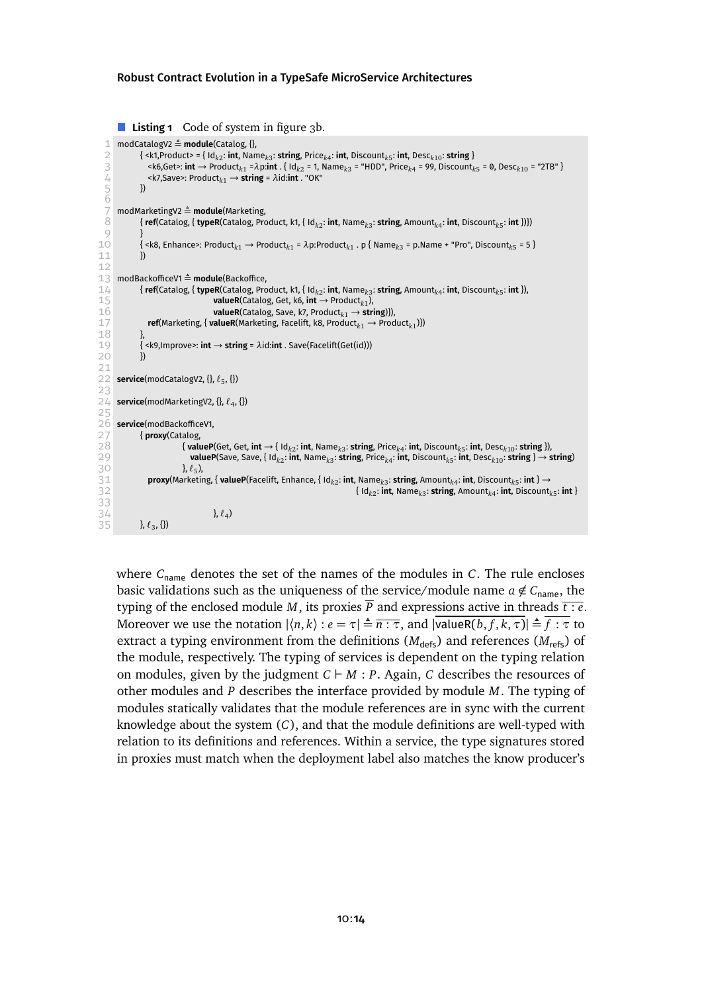```
Listing 1 figure 3b.
  1 modCatalogV2 \triangleq module(Catalog, {},<br>2 { <k1,Product> = { Id_{k\gamma}: int, Nan
  2 { <k1,Product> = { Idk2
: int, Namek3
: string, Pricek4
: int, Discountk5
: int, Desck10: string }
  3 <k6,Get>: int → Product<sub>k1</sub> = \lambdap:int . { Id<sub>k</sub><sub>2</sub> = 1, Name<sub>k3</sub> = "HDD", Price<sub>k4</sub> = 99, Discount<sub>k5</sub> = 0, Desc<sub>k10</sub> = "2TB" }<br><k7,Save>: Product<sub>k1</sub> → string = \lambdaid:int . "OK"
             \lek7,Save>: Product<sub>k1</sub> → string = \lambdaid:int . "OK"<br>})
  \overline{5}rac{6}{7}7 modMarketingV2 = module(Marketing,
  8 { ref(Catalog, { typeR(Catalog, Product, k1, { Idk2
: int, Namek3
: string, Amountk4
: int, Discountk5
: int })})
 9 }
10 { <k8, Enhance>: Productk1 → Productk1 = λp:Productk1
. p { Namek3 = p.Name + "Pro", Discountk5 = 5 }
11 })
12
13 modBackofficeV1 \triangleq module(Backoffice,<br>14 fref(Catalog, { typeR(Catalog, Pro
14 { ref(Catalog, { typeR(Catalog, Product, k1, { Idk2
: int, Namek3
: string, Amountk4
: int, Discountk5
: int }),
15 valueR(Catalog, Get, k6, int \rightarrow Product<sub>k1</sub>)</sub>,
16 valueR(Catalog, Save, k7, Productk1 → string)}),
17 ref(Marketing, { valueR(Marketing, Facelift, k8, Productk1 → Productk1
)})
\begin{array}{c|c}\n 18 & & \n \end{array}19 { <k9,Improve>: int → string = λid:int . Save(Facelift(Get(id)))
20 })
21
22 service(modCatalogV2, {}, `5
, {})
23
24 service(modMarketingV2, {}, `4
, {})
25
26 service(modBackofficeV1,<br>27 { proxy(Catalog,<br>28 { valueP
             27 { proxy(Catalog,
28 {valueP(Get, Get, int \rightarrow { Id<sub>k2</sub>: int, Name<sub>k3</sub>: string, Price<sub>k4</sub>: int, Discount<sub>k5</sub>: int, Desc<sub>k10</sub>: string }),
29 valueP(Save, Save, { Id<sub>k2</sub>: \overline{\text{int}}, Name<sub>k3</sub>: \overline{\text{string}}, Price<sub>k4</sub>: \overline{\text{int}}, Discount<sub>k5</sub>: \overline{\text{int}}, Desc<sub>k10</sub>: \overline{\text{string}} } → \overline{\text{string}}30 }, `5
                           \}, \ell_5),
31 proxy(Marketing, { valueP(Facelift, Enhance, { Idk2
: int, Namek3
: string, Amountk4
: int, Discountk5
: int } →
32 \{Id_{k2}: int, Namek3
: string, Amountk4
: int, Discountk5
: int }
32<br>33<br>34
34 }, \ell_435 }, \ell_3, {})
```
where  $C_{\text{name}}$  denotes the set of the names of the modules in *C*. The rule encloses basic validations such as the uniqueness of the service/module name  $a \notin C_{\text{name}}$ , the typing of the enclosed module *M*, its proxies  $\overline{P}$  and expressions active in threads  $\overline{t : e}$ . Moreover we use the notation  $|\langle n, k \rangle : e = \tau | = \overline{n : \tau}$ , and  $|\text{valueR}(b, f, k, \tau)| = \overline{f : \tau}$  to extract a typing environment from the definitions  $(M<sub>defs</sub>)$  and references  $(M<sub>refs</sub>)$  of the module, respectively. The typing of services is dependent on the typing relation on modules, given by the judgment  $C \vdash M : P$ . Again, *C* describes the resources of other modules and *P* describes the interface provided by module *M*. The typing of modules statically validates that the module references are in sync with the current knowledge about the system (*C*), and that the module definitions are well-typed with relation to its definitions and references. Within a service, the type signatures stored in proxies must match when the deployment label also matches the know producer's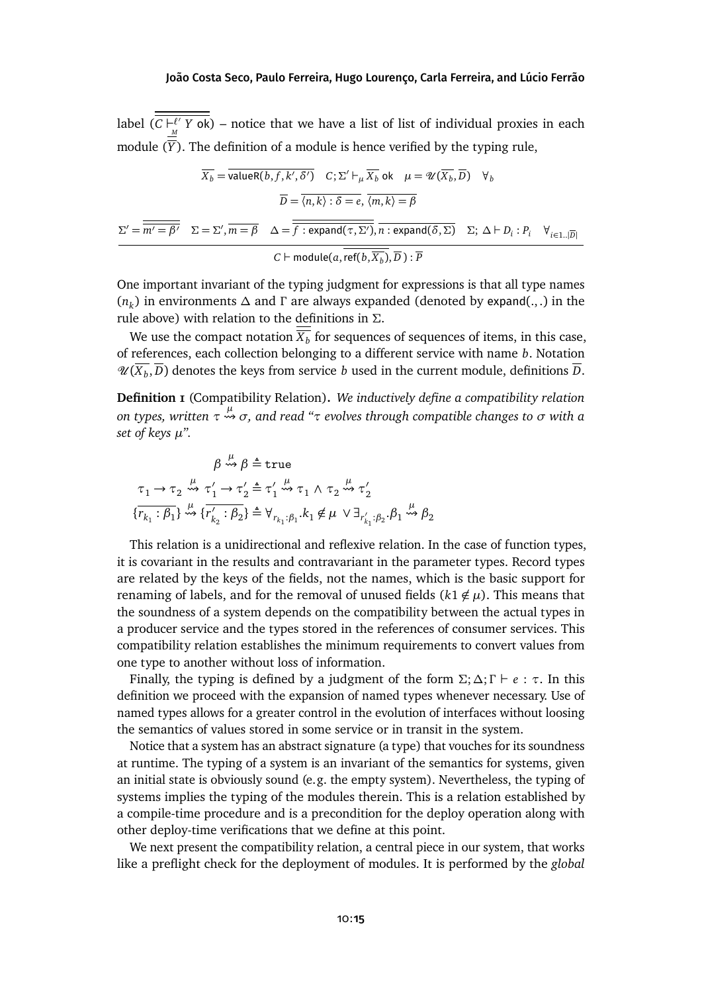label  $(C \vdash^{\ell'}_{C})$  $L^{\ell'}$  *Y* ok) – notice that we have a list of list of individual proxies in each module  $(\overline{Y})$ . The definition of a module is hence verified by the typing rule,

$$
\overline{X_b} = \overline{\text{valueR}(b, f, k', \delta')} \quad C; \Sigma' \vdash_{\mu} \overline{X_b} \text{ ok} \quad \mu = \mathcal{U}(\overline{X_b}, \overline{D}) \quad \forall_b
$$
\n
$$
\overline{D} = \overline{\langle n, k \rangle : \delta = e}, \overline{\langle m, k \rangle = \beta}
$$
\n
$$
\Sigma' = \overline{\overline{m' = \beta'}} \quad \Sigma = \Sigma', \overline{m = \beta} \quad \Delta = \overline{\overline{f : \text{expand}(\tau, \Sigma')}, \overline{n : \text{expand}(\delta, \Sigma)} \quad \Sigma; \Delta \vdash D_i : P_i \quad \forall_{i \in 1..|\overline{D}|}}
$$
\n
$$
C \vdash \text{module}(a, \overline{\text{ref}(b, \overline{X_b})}, \overline{D}) : \overline{P}
$$

One important invariant of the typing judgment for expressions is that all type names (*n<sup>k</sup>* ) in environments *∆* and *Γ* are always expanded (denoted by expand(., .) in the rule above) with relation to the definitions in *Σ*.

We use the compact notation  $\overline{X_b}$  for sequences of sequences of items, in this case, of references, each collection belonging to a different service with name *b*. Notation  $\mathscr{U}(\overline{X_b}, \overline{D})$  denotes the keys from service *b* used in the current module, definitions  $\overline{D}$ .

<span id="page-14-0"></span>**Definition 1** (Compatibility Relation)**.** *We inductively define a compatibility relation on types, written τ µ σ, and read "τ evolves through compatible changes to σ with a set of keys µ".*

$$
\beta \stackrel{\mu}{\leadsto} \beta \triangleq \text{true}
$$
\n
$$
\tau_1 \to \tau_2 \stackrel{\mu}{\leadsto} \tau_1' \to \tau_2' \triangleq \tau_1' \stackrel{\mu}{\leadsto} \tau_1 \wedge \tau_2 \stackrel{\mu}{\leadsto} \tau_2'
$$
\n
$$
\{\overline{r_{k_1}:\beta_1}\} \stackrel{\mu}{\leadsto} \{\overline{r_{k_2}':\beta_2}\} \triangleq \forall_{r_{k_1}:\beta_1, k_1 \notin \mu} \vee \exists_{r_{k_1}':\beta_2, \beta_1} \stackrel{\mu}{\leadsto} \beta_2
$$

This relation is a unidirectional and reflexive relation. In the case of function types, it is covariant in the results and contravariant in the parameter types. Record types are related by the keys of the fields, not the names, which is the basic support for renaming of labels, and for the removal of unused fields  $(k1 \notin \mu)$ . This means that the soundness of a system depends on the compatibility between the actual types in a producer service and the types stored in the references of consumer services. This compatibility relation establishes the minimum requirements to convert values from one type to another without loss of information.

Finally, the typing is defined by a judgment of the form  $\Sigma$ ;  $\Delta$ ;  $\Gamma \vdash e : \tau$ . In this definition we proceed with the expansion of named types whenever necessary. Use of named types allows for a greater control in the evolution of interfaces without loosing the semantics of values stored in some service or in transit in the system.

Notice that a system has an abstract signature (a type) that vouches for its soundness at runtime. The typing of a system is an invariant of the semantics for systems, given an initial state is obviously sound (e.g. the empty system). Nevertheless, the typing of systems implies the typing of the modules therein. This is a relation established by a compile-time procedure and is a precondition for the deploy operation along with other deploy-time verifications that we define at this point.

We next present the compatibility relation, a central piece in our system, that works like a preflight check for the deployment of modules. It is performed by the *global*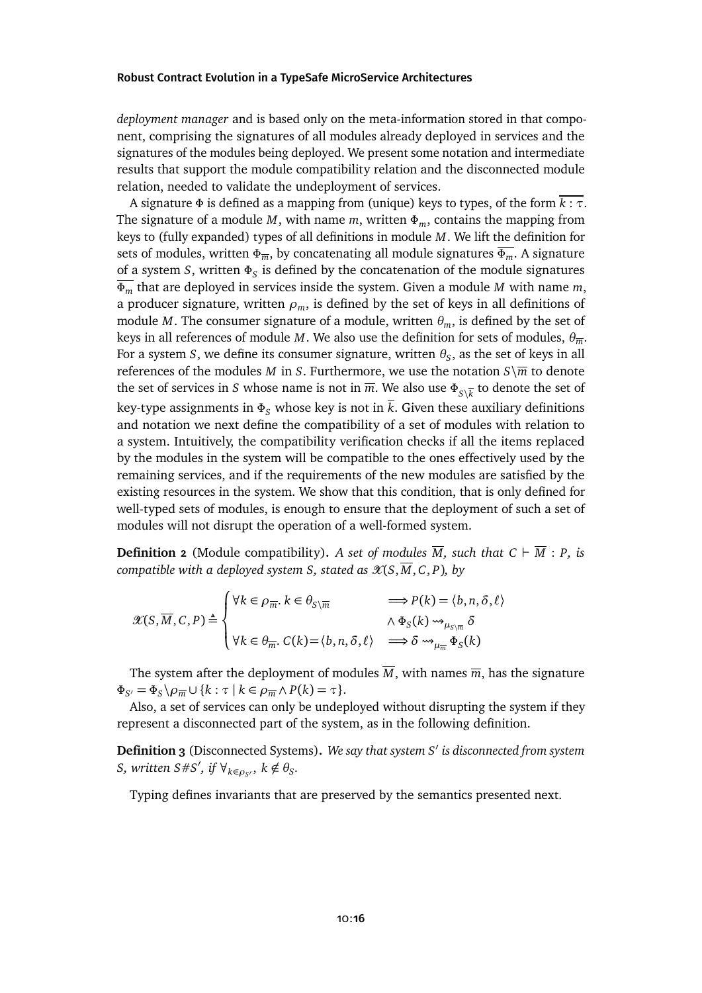*deployment manager* and is based only on the meta-information stored in that component, comprising the signatures of all modules already deployed in services and the signatures of the modules being deployed. We present some notation and intermediate results that support the module compatibility relation and the disconnected module relation, needed to validate the undeployment of services.

A signature *Φ* is defined as a mapping from (unique) keys to types, of the form *k* : *τ*. The signature of a module *M*, with name *m*, written *Φm*, contains the mapping from keys to (fully expanded) types of all definitions in module *M*. We lift the definition for sets of modules, written *Φm*, by concatenating all module signatures *Φm*. A signature of a system *S*, written *Φ<sup>S</sup>* is defined by the concatenation of the module signatures *Φ<sup>m</sup>* that are deployed in services inside the system. Given a module *M* with name *m*, a producer signature, written  $\rho_m$ , is defined by the set of keys in all definitions of module *M*. The consumer signature of a module, written  $\theta_m$ , is defined by the set of keys in all references of module *M*. We also use the definition for sets of modules, *θm*. For a system *S*, we define its consumer signature, written  $\theta_S$ , as the set of keys in all references of the modules *M* in *S*. Furthermore, we use the notation  $S\sqrt{m}$  to denote the set of services in *S* whose name is not in  $\overline{m}$ . We also use  $\Phi_{S\setminus\overline{k}}$  to denote the set of key-type assignments in  $\Phi_S$  whose key is not in  $\overline{k}$ . Given these auxiliary definitions and notation we next define the compatibility of a set of modules with relation to a system. Intuitively, the compatibility verification checks if all the items replaced by the modules in the system will be compatible to the ones effectively used by the remaining services, and if the requirements of the new modules are satisfied by the existing resources in the system. We show that this condition, that is only defined for well-typed sets of modules, is enough to ensure that the deployment of such a set of modules will not disrupt the operation of a well-formed system.

**Definition 2** (Module compatibility). A set of modules  $\overline{M}$ , such that  $C \vdash \overline{M} : P$ , is *compatible with a deployed system <i>S, stated as*  $\mathcal{X}(S, \overline{M}, C, P)$ *, by* 

$$
\mathcal{X}(S,\overline{M},C,P) \triangleq \begin{cases} \forall k \in \rho_{\overline{m}}, k \in \theta_{S \setminus \overline{m}} & \implies P(k) = \langle b,n,\delta,\ell \rangle \\ \forall k \in \theta_{\overline{m}}, C(k) = \langle b,n,\delta,\ell \rangle & \implies \delta \leadsto_{\mu_{\overline{m}}} \Phi_S(k) \\ \forall k \in \theta_{\overline{m}}, C(k) = \langle b,n,\delta,\ell \rangle & \implies \delta \leadsto_{\mu_{\overline{m}}} \Phi_S(k) \end{cases}
$$

The system after the deployment of modules  $\overline{M}$ , with names  $\overline{m}$ , has the signature  $\Phi_{S'} = \Phi_S \backslash \rho_{\overline{m}} \cup \{k : \tau \mid k \in \rho_{\overline{m}} \wedge P(k) = \tau\}.$ 

Also, a set of services can only be undeployed without disrupting the system if they represent a disconnected part of the system, as in the following definition.

**Definition 3** (Disconnected Systems)**.** *We say that system S* 0 *is disconnected from system*  $S$ *, written*  $S \# S'$ *, if*  $\forall_{k \in \rho_{S'}}$ *, k*  $\notin \theta_S$ *.* 

Typing defines invariants that are preserved by the semantics presented next.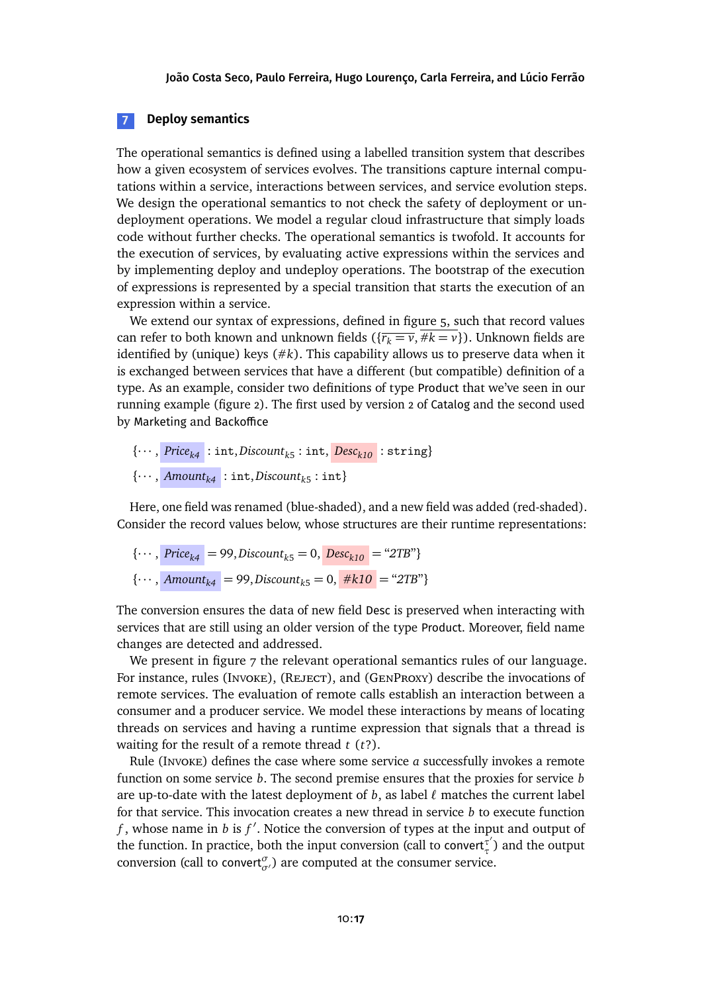### <span id="page-16-0"></span>**7 Deploy semantics**

The operational semantics is defined using a labelled transition system that describes how a given ecosystem of services evolves. The transitions capture internal computations within a service, interactions between services, and service evolution steps. We design the operational semantics to not check the safety of deployment or undeployment operations. We model a regular cloud infrastructure that simply loads code without further checks. The operational semantics is twofold. It accounts for the execution of services, by evaluating active expressions within the services and by implementing deploy and undeploy operations. The bootstrap of the execution of expressions is represented by a special transition that starts the execution of an expression within a service.

We extend our syntax of expressions, defined in [figure 5,](#page-10-1) such that record values can refer to both known and unknown fields  $({r_k = v, #k = v})$ . Unknown fields are identified by (unique) keys (#*k*). This capability allows us to preserve data when it is exchanged between services that have a different (but compatible) definition of a type. As an example, consider two definitions of type Product that we've seen in our running example [\(figure 2\)](#page-6-0). The first used by version 2 of Catalog and the second used by Marketing and Backoffice

$$
\{\cdots, \text{Price}_{k4} : \text{int}, \text{Discount}_{k5} : \text{int}, \text{Desc}_{k10} : \text{string}\}\
$$
  

$$
\{\cdots, \text{Amount}_{k4} : \text{int}, \text{Discount}_{k5} : \text{int}\}\
$$

Here, one field was renamed (blue-shaded), and a new field was added (red-shaded). Consider the record values below, whose structures are their runtime representations:

{
$$
\cdots
$$
,  $Price_{k4} = 99$ ,  $Discount_{k5} = 0$ ,  $Desc_{k10} = "2TB"$ }  
{ $\cdots$ ,  $Amount_{k4} = 99$ ,  $Discount_{k5} = 0$ ,  $#k10 = "2TB"$ }

The conversion ensures the data of new field Desc is preserved when interacting with services that are still using an older version of the type Product. Moreover, field name changes are detected and addressed.

We present in [figure 7](#page-17-0) the relevant operational semantics rules of our language. For instance, rules (INVOKE), (REJECT), and (GENPROXY) describe the invocations of remote services. The evaluation of remote calls establish an interaction between a consumer and a producer service. We model these interactions by means of locating threads on services and having a runtime expression that signals that a thread is waiting for the result of a remote thread *t* (*t*?).

Rule (Invoke) defines the case where some service *a* successfully invokes a remote function on some service *b*. The second premise ensures that the proxies for service *b* are up-to-date with the latest deployment of  $b$ , as label  $\ell$  matches the current label for that service. This invocation creates a new thread in service *b* to execute function  $f$ , whose name in  $b$  is  $f'$ . Notice the conversion of types at the input and output of the function. In practice, both the input conversion (call to convert<sup> $\tau^{\dagger}$ </sup> *τ* ) and the output conversion (call to convert $^{\sigma}_{\sigma}$ ) are computed at the consumer service.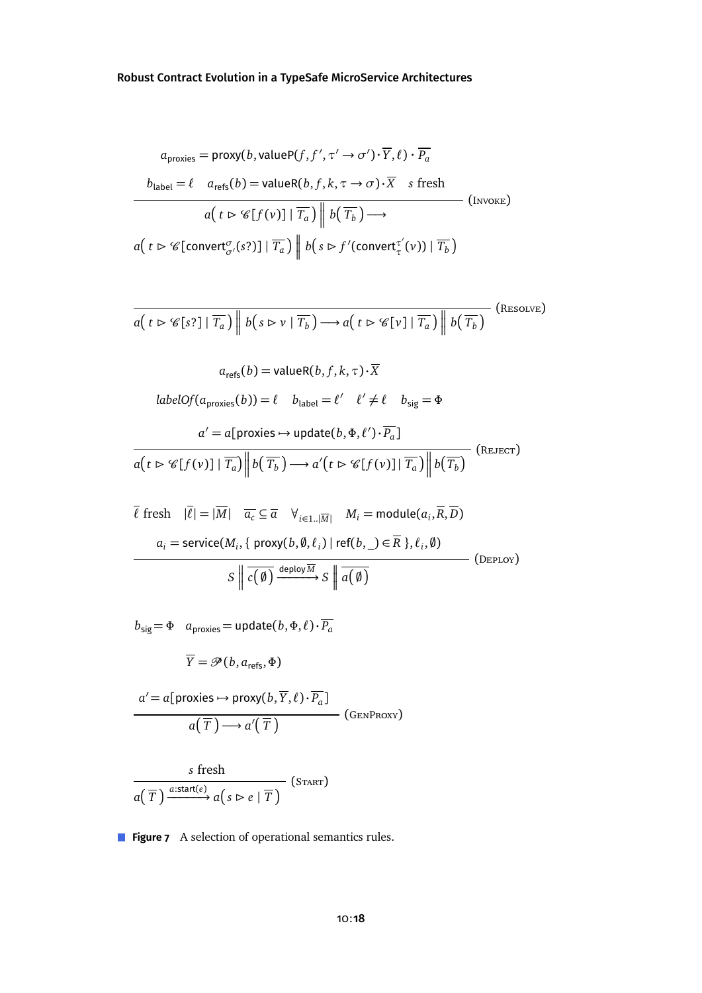<span id="page-17-0"></span>
$$
a_{\text{proxies}} = \text{proxy}(b, \text{valueP}(f, f', \tau' \to \sigma') \cdot \overline{Y}, \ell) \cdot \overline{P_a}
$$
  

$$
b_{\text{label}} = \ell \quad a_{\text{refs}}(b) = \text{valueR}(b, f, k, \tau \to \sigma) \cdot \overline{X} \quad s \text{ fresh}
$$
  

$$
a(t \triangleright \mathcal{C}[f(v)] | \overline{T_a}) \parallel b(\overline{T_b}) \longrightarrow \qquad \qquad \text{(Inverse)}
$$
  

$$
a(t \triangleright \mathcal{C}[\text{convert}_{\sigma'}^{\sigma}(s?)] | \overline{T_a}) \parallel b(s \triangleright f'(\text{convert}_{\tau}^{\tau'}(v)) | \overline{T_b})
$$

$$
\overline{a(t \triangleright \mathscr{C}[s?] | \overline{T_a}) \| b(s \triangleright v | \overline{T_b}) \longrightarrow a(t \triangleright \mathscr{C}[v] | \overline{T_a}) \| b(\overline{T_b})}
$$
 (Resource)

$$
a_{\text{refs}}(b) = \text{valueR}(b, f, k, \tau) \cdot X
$$

$$
\text{labelOf}(a_{\text{proxies}}(b)) = \ell \quad b_{\text{label}} = \ell' \quad \ell' \neq \ell \quad b_{\text{sig}} = \Phi
$$

$$
a' = a[\text{proxies} \rightarrow \text{update}(b, \Phi, \ell') \cdot \overline{P_a}]
$$

$$
\overline{a(t \triangleright \mathcal{C}[f(v)] \mid \overline{T_a})} \left\| b(\overline{T_b}) \longrightarrow a'(t \triangleright \mathcal{C}[f(v)] \mid \overline{T_a}) \right\| b(\overline{T_b}) \tag{REJECT}
$$

 $\overline{\ell}$  fresh  $|\overline{\ell}| = |\overline{M}|$   $\overline{a_c} \subseteq \overline{a}$   $\forall_{i \in 1..|\overline{M}|}$   $M_i = \text{module}(a_i, \overline{R}, \overline{D})$  $a_i$  = service( $M_i$ , { proxy( $b$ ,  $\emptyset$ ,  $\ell_i$ ) | ref( $b$ , \_)  $\in$   $\overline{R}$  },  $\ell_i$ ,  $\emptyset$ ) *S*  $\left\| \overline{c(\emptyset)} \xrightarrow{\text{depth } S} S \right\|$  $\sqrt{a(\emptyset)}$ (Deploy)

 $b_{sig} = \Phi$  *a*<sub>proxies</sub> = update $(b, \Phi, \ell) \cdot \overline{P_a}$ 

 $\overline{Y} = \mathcal{P}(b, a_{\text{refs}}, \Phi)$ 

$$
a' = a[\text{proxies} \rightarrow \text{proxy}(b, \overline{Y}, \ell) \cdot \overline{P_a}]
$$

$$
a(\overline{T}) \rightarrow a'(\overline{T})
$$
(GENProXY)

$$
\frac{s \text{ fresh}}{a(\overline{T}) \xrightarrow{a:\text{start}(e)} a(s \rhd e \mid \overline{T})} (\text{START})
$$

**Figure 7** A selection of operational semantics rules.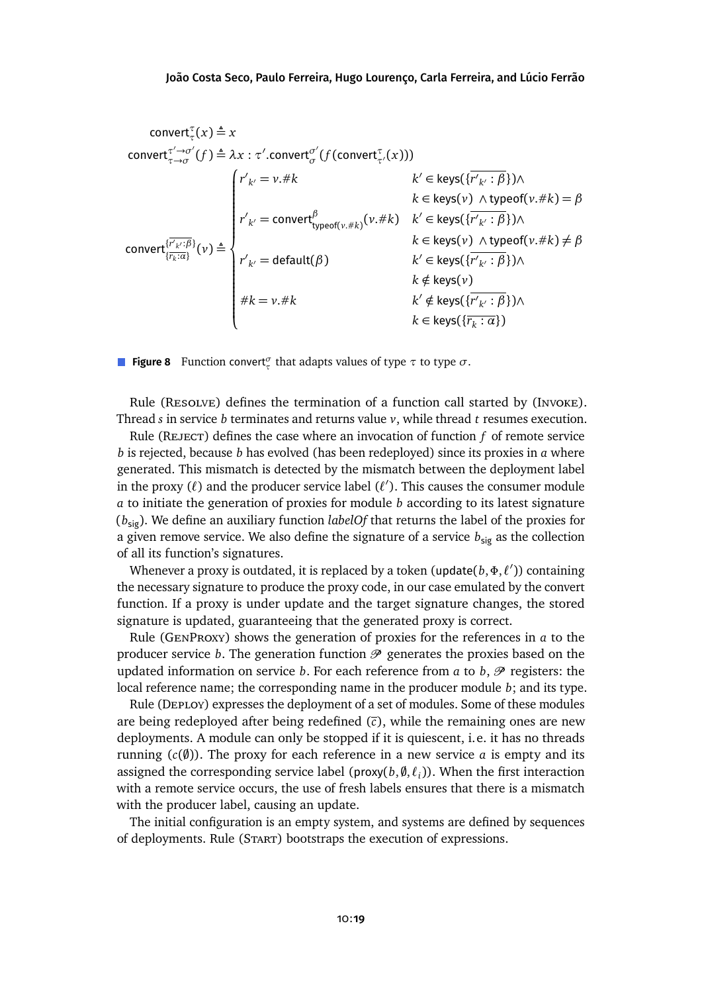<span id="page-18-0"></span>convert<sub>τ</sub>

\n
$$
\text{convert}_{\tau \to \sigma}^{(\tau \to \sigma)}(f) \triangleq \lambda x : \tau'.\text{convert}_{\sigma}^{(\sigma)}(f(\text{convert}_{\tau'}^{(\tau)}(x)))
$$
\n
$$
k' \in \text{keys}(\{r'_{k'} : \beta\}) \land k \in \text{keys}(\{r'_{k'} : \beta\}) \land k \in \text{keys}(\{r'_{k'} : \beta\}) \land k \in \text{keys}(\{r'_{k'} : \beta\}) \land k \in \text{keys}(\{r'_{k'} : \beta\}) \land k \in \text{keys}(\{r'_{k'} : \beta\}) \land k \in \text{keys}(\{r'_{k'} : \beta\}) \land k \in \text{keys}(\{r'_{k'} : \beta\}) \land k \in \text{keys}(\{r'_{k'} : \beta\}) \land k \in \text{keys}(\{r'_{k'} : \beta\}) \land k \in \text{keys}(\{r'_{k'} : \beta\}) \land k \notin \text{keys}(\{r'_{k'} : \beta\}) \land k \notin \text{keys}(\{r'_{k'} : \beta\}) \land k \in \text{keys}(\{r'_{k'} : \beta\}) \land k \in \text{keys}(\{r'_{k'} : \beta\}) \land k \in \text{keys}(\{r'_{k'} : \beta\}) \land k \in \text{keys}(\{r'_{k'} : \beta\}) \land k \in \text{keys}(\{r'_{k} : \alpha\})
$$

**Figure 8** Function convert*<sup>σ</sup> τ* that adapts values of type *τ* to type *σ*.

Rule (Resolve) defines the termination of a function call started by (Invoke). Thread *s* in service *b* terminates and returns value *v*, while thread *t* resumes execution.

Rule (Reject) defines the case where an invocation of function *f* of remote service *b* is rejected, because *b* has evolved (has been redeployed) since its proxies in *a* where generated. This mismatch is detected by the mismatch between the deployment label in the proxy  $(\ell)$  and the producer service label  $(\ell')$ . This causes the consumer module *a* to initiate the generation of proxies for module *b* according to its latest signature (*b*sig). We define an auxiliary function *labelOf* that returns the label of the proxies for a given remove service. We also define the signature of a service  $b_{\text{sig}}$  as the collection of all its function's signatures.

Whenever a proxy is outdated, it is replaced by a token (update $(b, \Phi, \ell^\prime)$ ) containing the necessary signature to produce the proxy code, in our case emulated by the convert function. If a proxy is under update and the target signature changes, the stored signature is updated, guaranteeing that the generated proxy is correct.

Rule (GenProxy) shows the generation of proxies for the references in *a* to the producer service *b*. The generation function  $\mathcal P$  generates the proxies based on the updated information on service *b*. For each reference from *a* to *b*,  $\mathcal{P}$  registers: the local reference name; the corresponding name in the producer module *b*; and its type.

Rule (Deploy) expresses the deployment of a set of modules. Some of these modules are being redeployed after being redefined (*c*), while the remaining ones are new deployments. A module can only be stopped if it is quiescent, i.e. it has no threads running  $(c(\emptyset))$ . The proxy for each reference in a new service *a* is empty and its assigned the corresponding service label (proxy( $b$ , $\emptyset$ , $\ell$ <sub>i</sub>)). When the first interaction with a remote service occurs, the use of fresh labels ensures that there is a mismatch with the producer label, causing an update.

The initial configuration is an empty system, and systems are defined by sequences of deployments. Rule (Start) bootstraps the execution of expressions.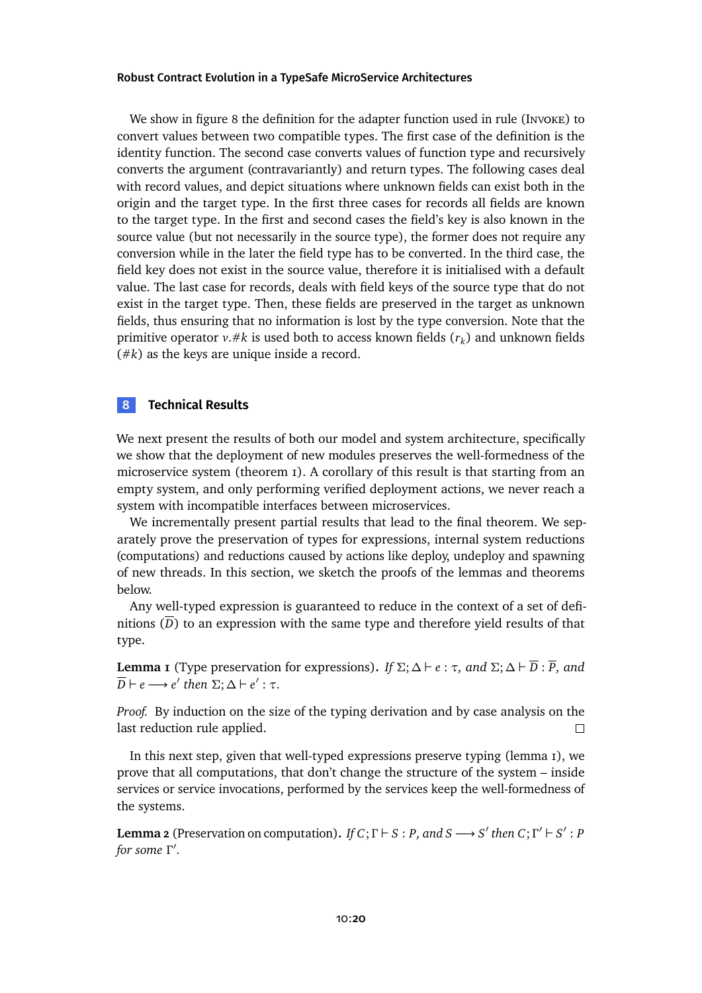We showin [figure 8](#page-18-0) the definition for the adapter function used in rule (Invoke) to convert values between two compatible types. The first case of the definition is the identity function. The second case converts values of function type and recursively converts the argument (contravariantly) and return types. The following cases deal with record values, and depict situations where unknown fields can exist both in the origin and the target type. In the first three cases for records all fields are known to the target type. In the first and second cases the field's key is also known in the source value (but not necessarily in the source type), the former does not require any conversion while in the later the field type has to be converted. In the third case, the field key does not exist in the source value, therefore it is initialised with a default value. The last case for records, deals with field keys of the source type that do not exist in the target type. Then, these fields are preserved in the target as unknown fields, thus ensuring that no information is lost by the type conversion. Note that the primitive operator  $v$ .# $k$  is used both to access known fields  $(r_k)$  and unknown fields (#*k*) as the keys are unique inside a record.

### <span id="page-19-0"></span>**8 Technical Results**

We next present the results of both our model and system architecture, specifically we show that the deployment of new modules preserves the well-formedness of the microservice system [\(theorem 1\)](#page-21-1). A corollary of this result is that starting from an empty system, and only performing verified deployment actions, we never reach a system with incompatible interfaces between microservices.

We incrementally present partial results that lead to the final theorem. We separately prove the preservation of types for expressions, internal system reductions (computations) and reductions caused by actions like deploy, undeploy and spawning of new threads. In this section, we sketch the proofs of the lemmas and theorems below.

Any well-typed expression is guaranteed to reduce in the context of a set of definitions  $(D)$  to an expression with the same type and therefore yield results of that type.

<span id="page-19-1"></span>**Lemma 1** (Type preservation for expressions). *If*  $\Sigma$ ;  $\Delta \vdash e : \tau$ *, and*  $\Sigma$ ;  $\Delta \vdash \overline{D} : \overline{P}$ *, and*  $\overline{D}$   $\vdash$  *e*  $\longrightarrow$  *e' then*  $\Sigma$ ;  $\Delta$   $\vdash$  *e'* :  $\tau$ *.* 

*Proof.* By induction on the size of the typing derivation and by case analysis on the last reduction rule applied.  $\Box$ 

In this next step, given that well-typed expressions preserve typing [\(lemma 1\)](#page-19-1), we prove that all computations, that don't change the structure of the system – inside services or service invocations, performed by the services keep the well-formedness of the systems.

<span id="page-19-2"></span>**Lemma 2** (Preservation on computation). *If*  $C$ ;  $\Gamma \vdash S : P$ *, and*  $S \longrightarrow S'$  *then*  $C$ ;  $\Gamma' \vdash S' : P$ *for some*  $Γ'$ .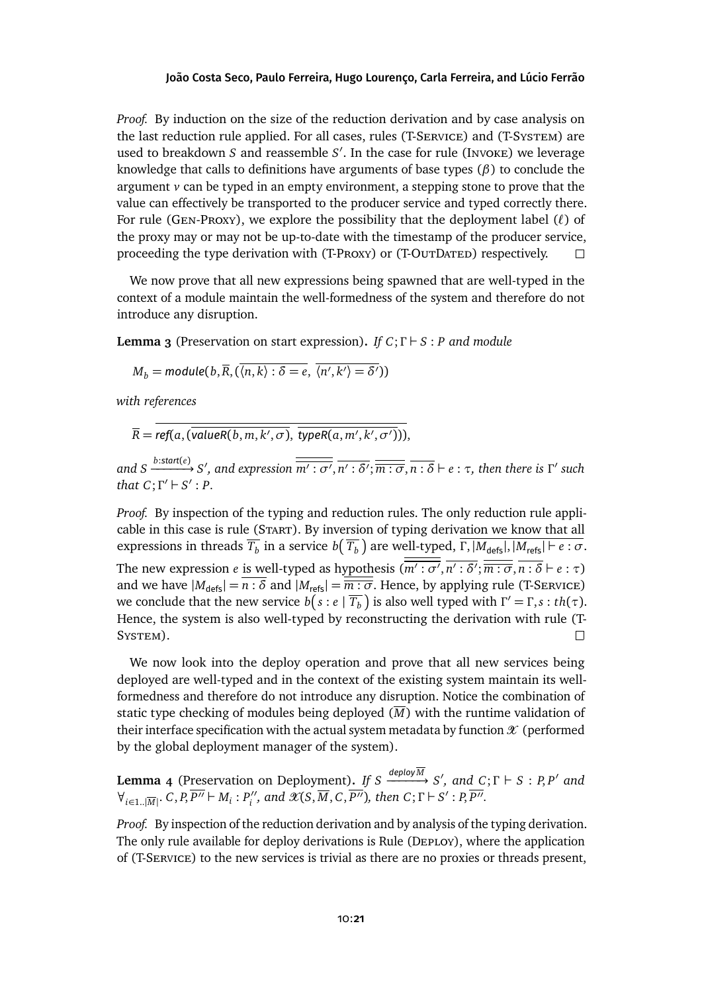*Proof.* By induction on the size of the reduction derivation and by case analysis on the last reduction rule applied. For all cases, rules (T-Service) and (T-System) are used to breakdown *S* and reassemble *S'*. In the case for rule (Invoke) we leverage knowledge that calls to definitions have arguments of base types (*β*) to conclude the argument *v* can be typed in an empty environment, a stepping stone to prove that the value can effectively be transported to the producer service and typed correctly there. For rule (Gen-Proxy), we explore the possibility that the deployment label (*`*) of the proxy may or may not be up-to-date with the timestamp of the producer service, proceeding the type derivation with (T-Proxy) or (T-OutDated) respectively.  $\Box$ 

We now prove that all new expressions being spawned that are well-typed in the context of a module maintain the well-formedness of the system and therefore do not introduce any disruption.

<span id="page-20-0"></span>**Lemma 3** (Preservation on start expression). *If*  $C$ ;  $\Gamma \vdash S$  : *P* and module

$$
M_b = \text{module}(b, \overline{R}, (\overline{\langle n, k \rangle} : \delta = e, \overline{\langle n', k' \rangle} = \delta'))
$$

*with references*

$$
\overline{R} = ref(a, (\overline{valueR(b, m, k', \sigma)}, \overline{typeR(a, m', k', \sigma')})
$$

and S  $\xrightarrow{b:\text{start}(e)} S'$ , and expression  $\overline{\overline{m':\sigma'}}, \overline{n':\delta'}; \overline{\overline{m:\sigma}}, \overline{n:\delta} \vdash e : \tau$ , then there is  $\Gamma'$  such *that*  $C$ ;  $\Gamma' \vdash S'$  *: P.* 

*Proof.* By inspection of the typing and reduction rules. The only reduction rule applicable in this case is rule (Start). By inversion of typing derivation we know that all expressions in threads  $\overline{T_b}$  in a service  $b(\,\overline{T_b}\,)$  are well-typed,  $\overline{\Gamma,|M_{\mathsf{defs}}|,|M_{\mathsf{refs}}| \vdash e:\sigma}.$ The new expression *e* is well-typed as hypothesis  $(\overline{m': \sigma'}, \overline{n': \delta'}; \overline{\overline{m : \sigma}}, \overline{n : \delta} \vdash e : \tau)$ and we have  $|M_{\text{defs}}| = \overline{n : \delta}$  and  $|M_{\text{refs}}| = \overline{\overline{m : \sigma}}$ . Hence, by applying rule (T-SERVICE) we conclude that the new service  $b(s : e | \overline{T_b})$  is also well typed with  $\Gamma' = \Gamma, s : th(\tau)$ . Hence, the system is also well-typed by reconstructing the derivation with rule (T-SYSTEM).  $\Box$ 

We now look into the deploy operation and prove that all new services being deployed are well-typed and in the context of the existing system maintain its wellformedness and therefore do not introduce any disruption. Notice the combination of static type checking of modules being deployed  $(\overline{M})$  with the runtime validation of their interface specification with the actual system metadata by function  $\mathcal X$  (performed by the global deployment manager of the system).

<span id="page-20-1"></span>**Lemma** 4 (Preservation on Deployment). *If*  $S \xrightarrow{deployM} S'$ , and  $C; \Gamma \vdash S : P, P'$  and  $\forall_{i\in{1..|\overline{M}|}}$ . *C*, *P*,  $\overline{P''}$   $\vdash M_i$  :  $P''_i$  $\mathcal{X}'(S, \overline{M}, C, \overline{P''})$ , then  $C; \Gamma \vdash S' : P, \overline{P''}.$ 

*Proof.* By inspection of the reduction derivation and by analysis of the typing derivation. The only rule available for deploy derivations is Rule (Deploy), where the application of (T-Service) to the new services is trivial as there are no proxies or threads present,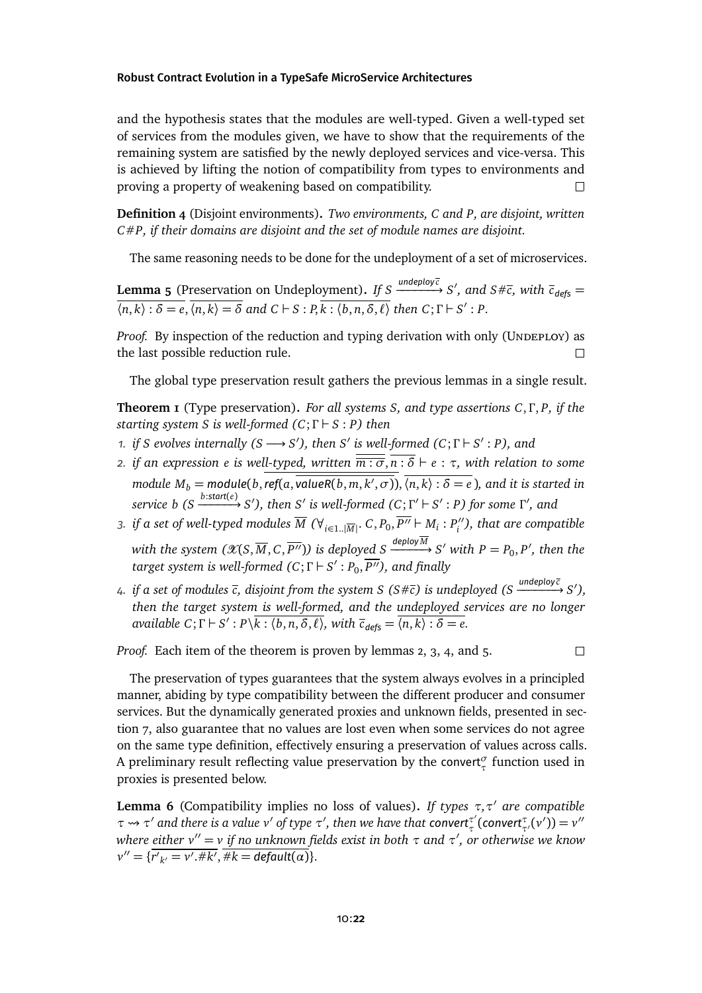and the hypothesis states that the modules are well-typed. Given a well-typed set of services from the modules given, we have to show that the requirements of the remaining system are satisfied by the newly deployed services and vice-versa. This is achieved by lifting the notion of compatibility from types to environments and proving a property of weakening based on compatibility.  $\Box$ 

**Definition 4** (Disjoint environments)**.** *Two environments, C and P, are disjoint, written C*#*P, if their domains are disjoint and the set of module names are disjoint.*

The same reasoning needs to be done for the undeployment of a set of microservices.

<span id="page-21-2"></span>**Lemma 5** (Preservation on Undeployment). *If S*  $\xrightarrow{underpoly\overline{c}} S',$  and  $S\# \overline{c},$  with  $\overline{c}_{defs} =$  $\overline{\langle n,k\rangle:\delta=e}, \overline{\langle n,k\rangle=\delta}$  and  $C\vdash S:P, \overline{k:\langle b,n,\delta,\ell\rangle}$  then  $C;\Gamma\vdash S':P$ .

*Proof.* By inspection of the reduction and typing derivation with only (UNDEPLOY) as the last possible reduction rule.  $\Box$ 

The global type preservation result gathers the previous lemmas in a single result.

<span id="page-21-1"></span>**Theorem 1** (Type preservation)**.** *For all systems S, and type assertions C*, *Γ* , *P, if the starting system S is well-formed (C*; *Γ* ` *S* : *P) then*

- *n. if S evolves internally (S*  $\longrightarrow$  *S'*), *then S' is well-formed (C*;  $\Gamma$   $\vdash$  *S'* : *P*), and
- *2. if an expression e is well-typed, written*  $\overline{\overline{m : \sigma}}$ ,  $\overline{n : \delta} \vdash e : \tau$ , with relation to some *module*  $M_b$  *= module*(*b*, ref(a, valueR(*b*, m,  $k', \sigma$ )),  $\overline{\langle n, k \rangle : \delta = e}$  ), and it is started in service b (S  $\xrightarrow{b:\text{start}(e)} S'$ ), then S' is well-formed (C;  $\Gamma'\vdash S'$  : P) for some  $\Gamma'$ , and
- 3. *if a set of well-typed modules*  $\overline{M}$  *(* $\forall$ *<sub>i∈1..</sub>|* $\overline{M}$ *|* $\cdot$  *<i>C*,  $P_0$ ,  $\overline{P''} \vdash M_i : P''_i$ *i ), that are compatible*  $w$ ith the system  $(\mathscr{X}(S,\overline{M},C,\overline{P''}))$  is deployed  $S \xrightarrow{deployM} S'$  with  $P=P_0,P',$  then the *target system is well-formed (C;Γ*  $\vdash$  *S'*  $:$  *P*<sub>0</sub>,  $\overline{P''}$ ), and finally
- *4. if a set of modules c, disjoint from the system S (S*#*c) is undeployed (S undeploy c* −−−−−−→ *S* 0 *), then the target system is well-formed, and the undeployed services are no longer available*  $C$ ;  $\Gamma \vdash S' : P\backslash \overline{k : \langle b, n, \delta, \ell \rangle}$ , with  $\overline{c}_{\text{deg}5} = \overline{\langle n, k \rangle : \delta = e}$ .

*Proof.* Each item of the theorem is proven by lemmas [2,](#page-19-2) [3,](#page-20-0) [4,](#page-20-1) and [5.](#page-21-2)

 $\Box$ 

The preservation of types guarantees that the system always evolves in a principled manner, abiding by type compatibility between the different producer and consumer services. But the dynamically generated proxies and unknown fields, presentedin [sec](#page-16-0)[tion 7,](#page-16-0) also guarantee that no values are lost even when some services do not agree on the same type definition, effectively ensuring a preservation of values across calls. A preliminary result reflecting value preservation by the convert*<sup>σ</sup> τ* function used in proxies is presented below.

<span id="page-21-0"></span>**Lemma 6** (Compatibility implies no loss of values). If types  $\tau$ , $\tau'$  are compatible *τ*  $\rightarrow$  *τ'* and there is a value *v'* of type *τ'*, then we have that convert<sup>*τ'*</sup> *τ*<sup>'</sup><sub>τ</sub>'(*v'*)) = *v'' where either v* <sup>00</sup> <sup>=</sup> *<sup>v</sup> if no unknown fields exist in both <sup>τ</sup> and <sup>τ</sup>* 0 *, or otherwise we know*  $v'' = \{\overline{r'}_{k'} = v'.\#k', \overline{\#k} = \text{default}(\alpha)\}.$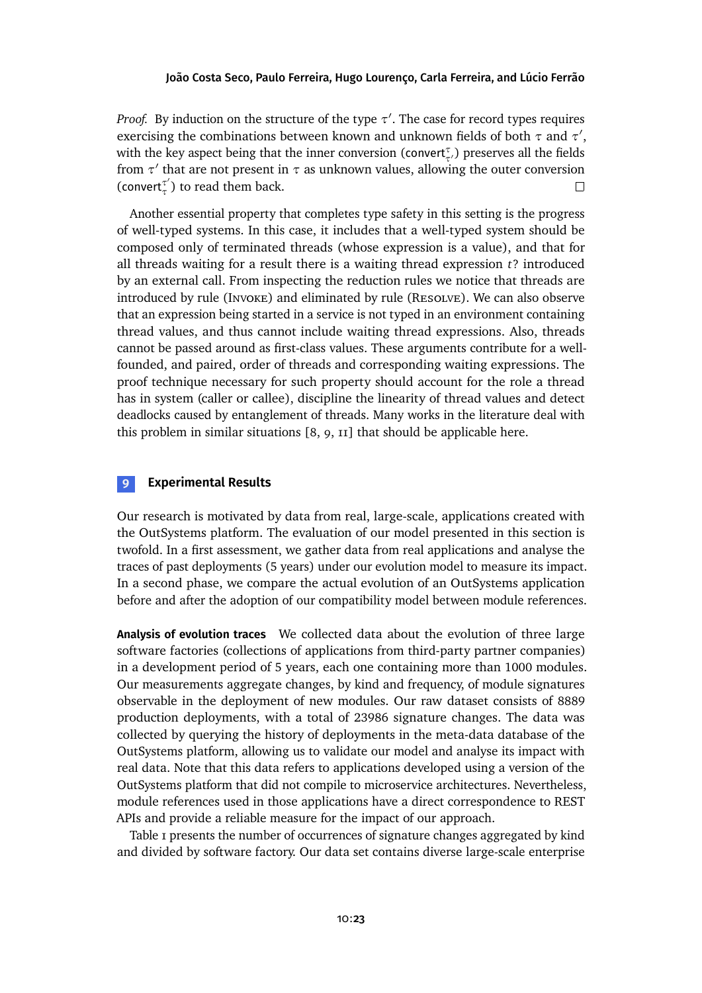*Proof.* By induction on the structure of the type  $\tau'$ . The case for record types requires exercising the combinations between known and unknown fields of both *τ* and *τ'*, with the key aspect being that the inner conversion (convert<sub>τ</sub><sup>,</sup>) preserves all the fields from *τ'* that are not present in *τ* as unknown values, allowing the outer conversion (convert*<sup>τ</sup>* 0  $\Box$ *τ* ) to read them back.

Another essential property that completes type safety in this setting is the progress of well-typed systems. In this case, it includes that a well-typed system should be composed only of terminated threads (whose expression is a value), and that for all threads waiting for a result there is a waiting thread expression *t*? introduced by an external call. From inspecting the reduction rules we notice that threads are introduced by rule (INVOKE) and eliminated by rule (RESOLVE). We can also observe that an expression being started in a service is not typed in an environment containing thread values, and thus cannot include waiting thread expressions. Also, threads cannot be passed around as first-class values. These arguments contribute for a wellfounded, and paired, order of threads and corresponding waiting expressions. The proof technique necessary for such property should account for the role a thread has in system (caller or callee), discipline the linearity of thread values and detect deadlocks caused by entanglement of threads. Many works in the literature deal with this problem in similar situations [\[8,](#page-28-3) [9,](#page-28-2) [11\]](#page-28-4) that should be applicable here.

# <span id="page-22-0"></span>**9 Experimental Results**

Our research is motivated by data from real, large-scale, applications created with the OutSystems platform. The evaluation of our model presented in this section is twofold. In a first assessment, we gather data from real applications and analyse the traces of past deployments (5 years) under our evolution model to measure its impact. In a second phase, we compare the actual evolution of an OutSystems application before and after the adoption of our compatibility model between module references.

**Analysis of evolution traces** We collected data about the evolution of three large software factories (collections of applications from third-party partner companies) in a development period of 5 years, each one containing more than 1000 modules. Our measurements aggregate changes, by kind and frequency, of module signatures observable in the deployment of new modules. Our raw dataset consists of 8889 production deployments, with a total of 23986 signature changes. The data was collected by querying the history of deployments in the meta-data database of the OutSystems platform, allowing us to validate our model and analyse its impact with real data. Note that this data refers to applications developed using a version of the OutSystems platform that did not compile to microservice architectures. Nevertheless, module references used in those applications have a direct correspondence to REST APIs and provide a reliable measure for the impact of our approach.

[Table 1](#page-23-0) presents the number of occurrences of signature changes aggregated by kind and divided by software factory. Our data set contains diverse large-scale enterprise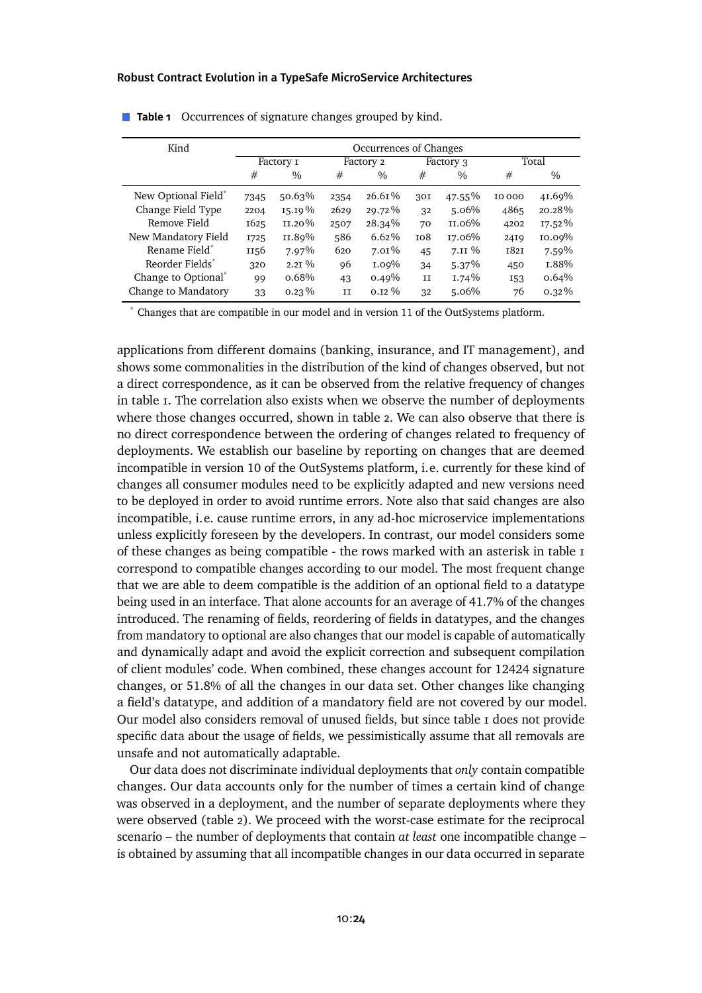| Kind                            | Occurrences of Changes |               |      |               |     |               |             |               |
|---------------------------------|------------------------|---------------|------|---------------|-----|---------------|-------------|---------------|
|                                 | Factory I              |               |      | Factory 2     |     | Factory 3     | Total       |               |
|                                 | #                      | $\frac{0}{0}$ | #    | $\frac{0}{0}$ | #   | $\frac{0}{0}$ | #           | $\frac{0}{0}$ |
| New Optional Field <sup>®</sup> | 7345                   | $50.63\%$     | 2354 | $26.61\%$     | 30I | 47.55%        | 10000       | 41.69%        |
| Change Field Type               | 2204                   | 15.19%        | 2629 | 29.72%        | 32  | 5.06%         | 4865        | $20.28\%$     |
| Remove Field                    | 1625                   | $II.20\%$     | 2507 | $28.34\%$     | 70  | II.06%        | 4202        | $17.52\%$     |
| New Mandatory Field             | <b>1725</b>            | II.89%        | 586  | $6.62\%$      | 108 | 17.06%        | 2419        | 10.09%        |
| Rename Field <sup>*</sup>       | 1156                   | $7.97\%$      | 620  | $7.01\%$      | 45  | $7.II\%$      | <b>1821</b> | 7.59%         |
| Reorder Fields <sup>*</sup>     | 320                    | $2.2I\%$      | 96   | 1.09%         | 34  | $5.37\%$      | 450         | I.88%         |
| Change to Optional*             | 99                     | $0.68\%$      | 43   | $0.49\%$      | II  | $1.74\%$      | I53         | $0.64\%$      |
| Change to Mandatory             | 33                     | $0.23\%$      | Π    | $0.12\%$      | 32  | 5.06%         | 76          | $0.32\%$      |

### <span id="page-23-0"></span>**Table 1** Occurrences of signature changes grouped by kind.

\* Changes that are compatible in our model and in version 11 of the OutSystems platform.

applications from different domains (banking, insurance, and IT management), and shows some commonalities in the distribution of the kind of changes observed, but not a direct correspondence, as it can be observed from the relative frequency of changes in [table 1.](#page-23-0) The correlation also exists when we observe the number of deployments where those changes occurred, shown in [table 2.](#page-24-0) We can also observe that there is no direct correspondence between the ordering of changes related to frequency of deployments. We establish our baseline by reporting on changes that are deemed incompatible in version 10 of the OutSystems platform, i.e. currently for these kind of changes all consumer modules need to be explicitly adapted and new versions need to be deployed in order to avoid runtime errors. Note also that said changes are also incompatible, i.e. cause runtime errors, in any ad-hoc microservice implementations unless explicitly foreseen by the developers. In contrast, our model considers some of these changes as being compatible - the rows marked with an asterisk in [table 1](#page-23-0) correspond to compatible changes according to our model. The most frequent change that we are able to deem compatible is the addition of an optional field to a datatype being used in an interface. That alone accounts for an average of 41.7% of the changes introduced. The renaming of fields, reordering of fields in datatypes, and the changes from mandatory to optional are also changes that our model is capable of automatically and dynamically adapt and avoid the explicit correction and subsequent compilation of client modules' code. When combined, these changes account for 12424 signature changes, or 51.8% of all the changes in our data set. Other changes like changing a field's datatype, and addition of a mandatory field are not covered by our model. Our model also considers removal of unused fields, but since [table 1](#page-23-0) does not provide specific data about the usage of fields, we pessimistically assume that all removals are unsafe and not automatically adaptable.

Our data does not discriminate individual deployments that *only* contain compatible changes. Our data accounts only for the number of times a certain kind of change was observed in a deployment, and the number of separate deployments where they were observed [\(table 2\)](#page-24-0). We proceed with the worst-case estimate for the reciprocal scenario – the number of deployments that contain *at least* one incompatible change – is obtained by assuming that all incompatible changes in our data occurred in separate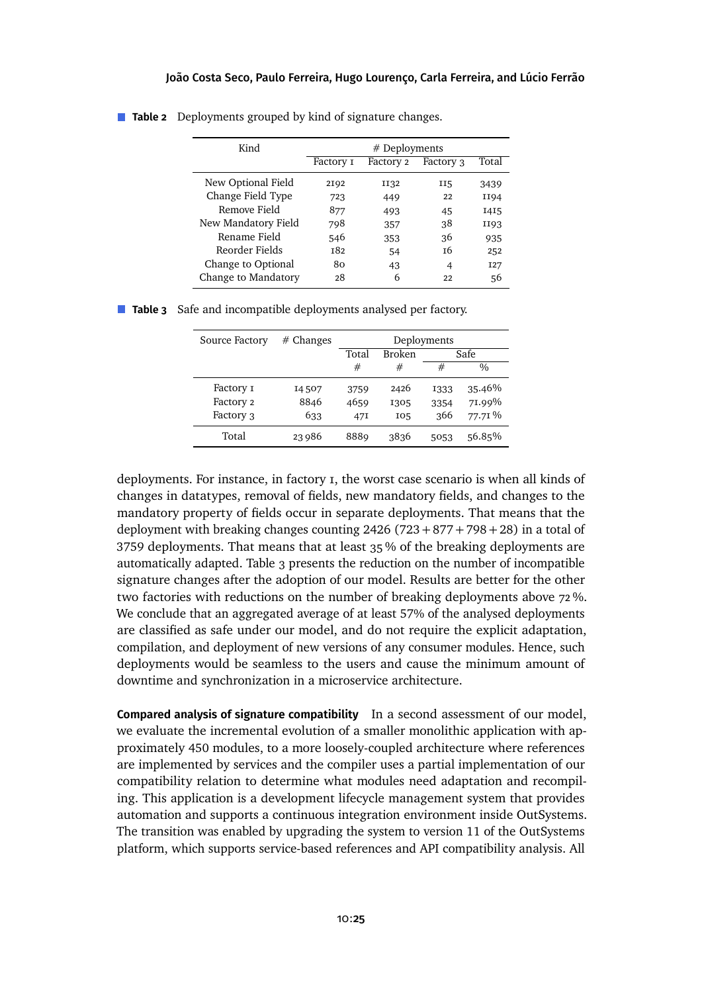| Kind                | $#$ Deployments |           |           |            |  |
|---------------------|-----------------|-----------|-----------|------------|--|
|                     | Factory I       | Factory 2 | Factory 3 | Total      |  |
| New Optional Field  | 2192            | II32      | II5       | 3439       |  |
| Change Field Type   | 723             | 449       | 22        | II94       |  |
| Remove Field        | 877             | 493       | 45        | I4I5       |  |
| New Mandatory Field | 798             | 357       | 38        | II93       |  |
| Rename Field        | 546             | 353       | 36        | 935        |  |
| Reorder Fields      | <b>182</b>      | 54        | т6        | 252        |  |
| Change to Optional  | 80              | 43        | 4         | <b>I27</b> |  |
| Change to Mandatory | 28              | 6         | 22        | 56         |  |

<span id="page-24-0"></span>**Table 2** Deployments grouped by kind of signature changes.

<span id="page-24-1"></span>

|  |  |  | Table 3 Safe and incompatible deployments analysed per factory. |  |  |  |
|--|--|--|-----------------------------------------------------------------|--|--|--|
|--|--|--|-----------------------------------------------------------------|--|--|--|

| Source Factory | $#$ Changes | Deployments |               |      |                    |
|----------------|-------------|-------------|---------------|------|--------------------|
|                |             | Total       | <b>Broken</b> | Safe |                    |
|                |             | #           | #             | #    | $\frac{0}{0}$      |
| Factory 1      | 14507       | 3759        | 2426          | 1333 | 35.46%             |
| Factory 2      | 8846        | 4659        | 1305          | 3354 | 71.99%             |
| Factory 3      | 633         | 47I         | 105           | 366  | 77.71 <sup>%</sup> |
| Total          | 23986       | 8889        | 3836          | 5053 | 56.85%             |

deployments. For instance, in factory 1, the worst case scenario is when all kinds of changes in datatypes, removal of fields, new mandatory fields, and changes to the mandatory property of fields occur in separate deployments. That means that the deployment with breaking changes counting  $2426 (723 + 877 + 798 + 28)$  in a total of 3759 deployments. That means that at least 35 % of the breaking deployments are automatically adapted. [Table 3](#page-24-1) presents the reduction on the number of incompatible signature changes after the adoption of our model. Results are better for the other two factories with reductions on the number of breaking deployments above 72 %. We conclude that an aggregated average of at least 57% of the analysed deployments are classified as safe under our model, and do not require the explicit adaptation, compilation, and deployment of new versions of any consumer modules. Hence, such deployments would be seamless to the users and cause the minimum amount of downtime and synchronization in a microservice architecture.

**Compared analysis of signature compatibility** In a second assessment of our model, we evaluate the incremental evolution of a smaller monolithic application with approximately 450 modules, to a more loosely-coupled architecture where references are implemented by services and the compiler uses a partial implementation of our compatibility relation to determine what modules need adaptation and recompiling. This application is a development lifecycle management system that provides automation and supports a continuous integration environment inside OutSystems. The transition was enabled by upgrading the system to version 11 of the OutSystems platform, which supports service-based references and API compatibility analysis. All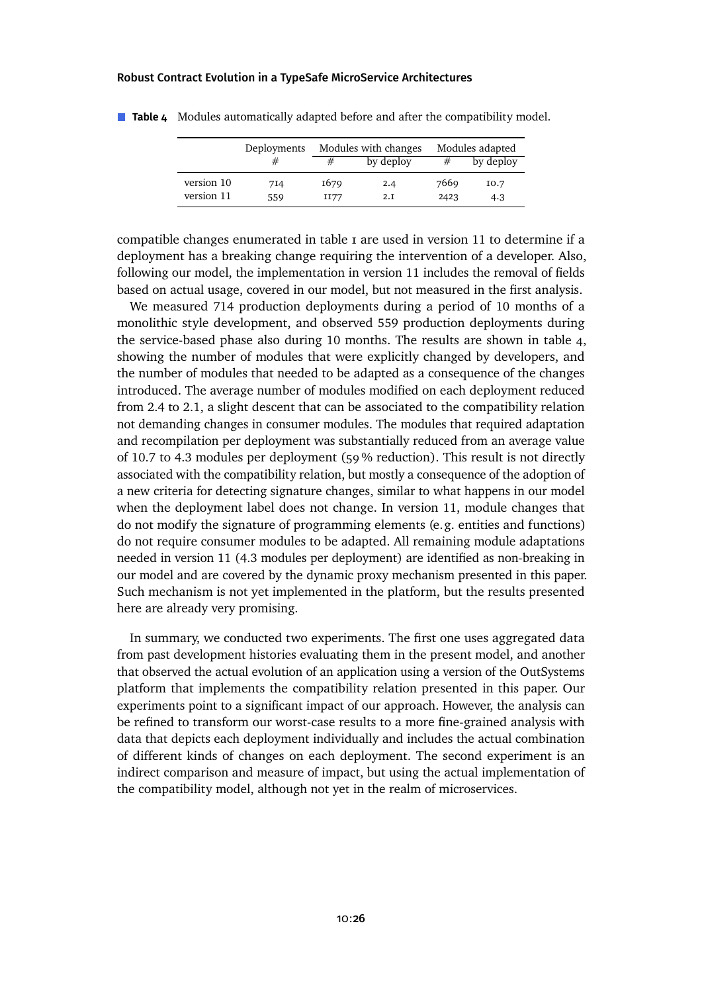|            | Deployments | Modules with changes |           |      | Modules adapted |
|------------|-------------|----------------------|-----------|------|-----------------|
|            | #           | #                    | by deploy | #    | by deploy       |
| version 10 | 714         | 1679                 | 2.4       | 7669 | 10.7            |
| version 11 | 559         | II77                 | 2.I       | 2423 | 4.3             |

<span id="page-25-0"></span>**Table 4** Modules automatically adapted before and after the compatibility model.

compatible changes enumerated in [table 1](#page-23-0) are used in version 11 to determine if a deployment has a breaking change requiring the intervention of a developer. Also, following our model, the implementation in version 11 includes the removal of fields based on actual usage, covered in our model, but not measured in the first analysis.

We measured 714 production deployments during a period of 10 months of a monolithic style development, and observed 559 production deployments during the service-based phase also during 10 months. The results are shown in [table 4,](#page-25-0) showing the number of modules that were explicitly changed by developers, and the number of modules that needed to be adapted as a consequence of the changes introduced. The average number of modules modified on each deployment reduced from 2.4 to 2.1, a slight descent that can be associated to the compatibility relation not demanding changes in consumer modules. The modules that required adaptation and recompilation per deployment was substantially reduced from an average value of 10.7 to 4.3 modules per deployment (59 % reduction). This result is not directly associated with the compatibility relation, but mostly a consequence of the adoption of a new criteria for detecting signature changes, similar to what happens in our model when the deployment label does not change. In version 11, module changes that do not modify the signature of programming elements (e.g. entities and functions) do not require consumer modules to be adapted. All remaining module adaptations needed in version 11 (4.3 modules per deployment) are identified as non-breaking in our model and are covered by the dynamic proxy mechanism presented in this paper. Such mechanism is not yet implemented in the platform, but the results presented here are already very promising.

In summary, we conducted two experiments. The first one uses aggregated data from past development histories evaluating them in the present model, and another that observed the actual evolution of an application using a version of the OutSystems platform that implements the compatibility relation presented in this paper. Our experiments point to a significant impact of our approach. However, the analysis can be refined to transform our worst-case results to a more fine-grained analysis with data that depicts each deployment individually and includes the actual combination of different kinds of changes on each deployment. The second experiment is an indirect comparison and measure of impact, but using the actual implementation of the compatibility model, although not yet in the realm of microservices.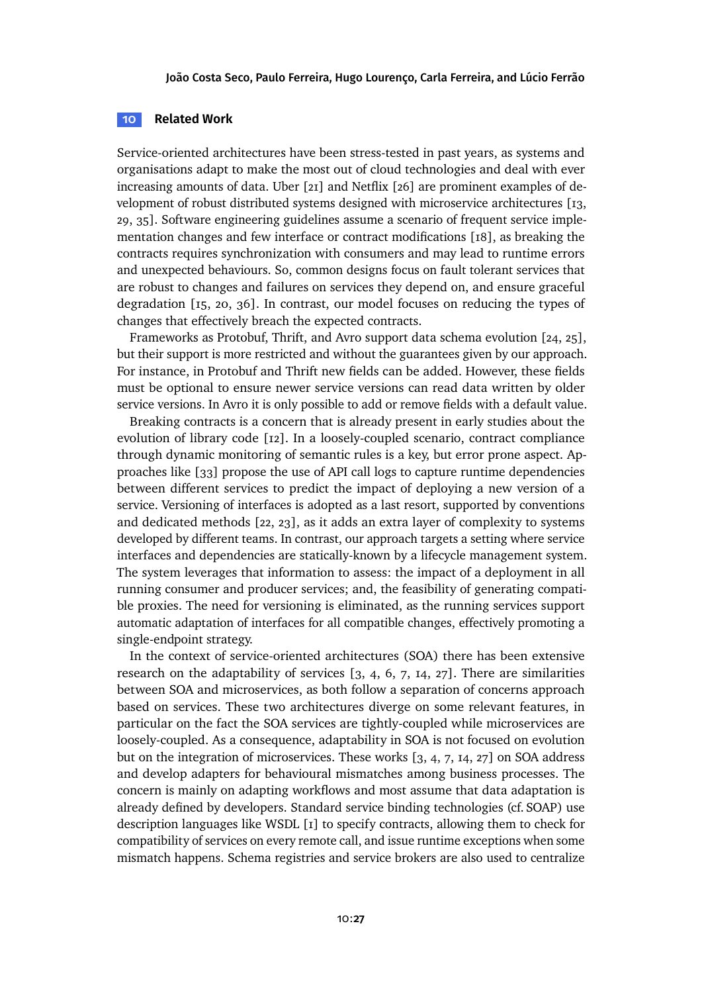### **10 Related Work**

Service-oriented architectures have been stress-tested in past years, as systems and organisations adapt to make the most out of cloud technologies and deal with ever increasing amounts of data. Uber [\[21\]](#page-29-3) and Netflix [\[26\]](#page-30-5) are prominent examples of development of robust distributed systems designed with microservice architectures [\[13,](#page-29-4) [29,](#page-30-6) [35\]](#page-31-3). Software engineering guidelines assume a scenario of frequent service implementation changes and few interface or contract modifications [\[18\]](#page-29-5), as breaking the contracts requires synchronization with consumers and may lead to runtime errors and unexpected behaviours. So, common designs focus on fault tolerant services that are robust to changes and failures on services they depend on, and ensure graceful degradation [\[15,](#page-29-6) [20,](#page-29-7) [36\]](#page-31-4). In contrast, our model focuses on reducing the types of changes that effectively breach the expected contracts.

Frameworks as Protobuf, Thrift, and Avro support data schema evolution [\[24,](#page-30-7) [25\]](#page-30-8), but their support is more restricted and without the guarantees given by our approach. For instance, in Protobuf and Thrift new fields can be added. However, these fields must be optional to ensure newer service versions can read data written by older service versions. In Avro it is only possible to add or remove fields with a default value.

Breaking contracts is a concern that is already present in early studies about the evolution of library code [\[12\]](#page-29-8). In a loosely-coupled scenario, contract compliance through dynamic monitoring of semantic rules is a key, but error prone aspect. Approaches like [\[33\]](#page-30-9) propose the use of API call logs to capture runtime dependencies between different services to predict the impact of deploying a new version of a service. Versioning of interfaces is adopted as a last resort, supported by conventions and dedicated methods [\[22,](#page-30-0) [23\]](#page-30-1), as it adds an extra layer of complexity to systems developed by different teams. In contrast, our approach targets a setting where service interfaces and dependencies are statically-known by a lifecycle management system. The system leverages that information to assess: the impact of a deployment in all running consumer and producer services; and, the feasibility of generating compatible proxies. The need for versioning is eliminated, as the running services support automatic adaptation of interfaces for all compatible changes, effectively promoting a single-endpoint strategy.

In the context of service-oriented architectures (SOA) there has been extensive research on the adaptability of services [\[3,](#page-28-5) [4,](#page-28-6) [6,](#page-28-7) [7,](#page-28-8) [14,](#page-29-9) [27\]](#page-30-10). There are similarities between SOA and microservices, as both follow a separation of concerns approach based on services. These two architectures diverge on some relevant features, in particular on the fact the SOA services are tightly-coupled while microservices are loosely-coupled. As a consequence, adaptability in SOA is not focused on evolution but on the integration of microservices. These works [\[3,](#page-28-5) [4,](#page-28-6) [7,](#page-28-8) [14,](#page-29-9) [27\]](#page-30-10) on SOA address and develop adapters for behavioural mismatches among business processes. The concern is mainly on adapting workflows and most assume that data adaptation is already defined by developers. Standard service binding technologies (cf. SOAP) use description languages like WSDL [\[1\]](#page-27-0) to specify contracts, allowing them to check for compatibility of services on every remote call, and issue runtime exceptions when some mismatch happens. Schema registries and service brokers are also used to centralize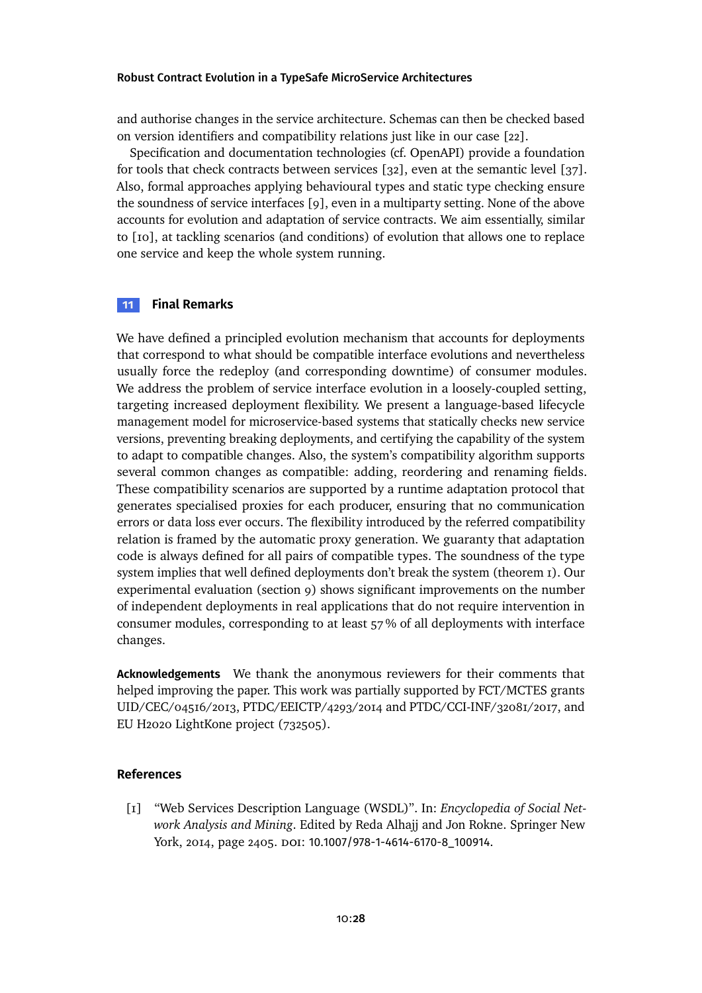and authorise changes in the service architecture. Schemas can then be checked based on version identifiers and compatibility relations just like in our case [\[22\]](#page-30-0).

Specification and documentation technologies (cf. OpenAPI) provide a foundation for tools that check contracts between services [\[32\]](#page-30-11), even at the semantic level [\[37\]](#page-31-5). Also, formal approaches applying behavioural types and static type checking ensure the soundness of service interfaces [\[9\]](#page-28-2), even in a multiparty setting. None of the above accounts for evolution and adaptation of service contracts. We aim essentially, similar to [\[10\]](#page-28-9), at tackling scenarios (and conditions) of evolution that allows one to replace one service and keep the whole system running.

### **11 Final Remarks**

We have defined a principled evolution mechanism that accounts for deployments that correspond to what should be compatible interface evolutions and nevertheless usually force the redeploy (and corresponding downtime) of consumer modules. We address the problem of service interface evolution in a loosely-coupled setting, targeting increased deployment flexibility. We present a language-based lifecycle management model for microservice-based systems that statically checks new service versions, preventing breaking deployments, and certifying the capability of the system to adapt to compatible changes. Also, the system's compatibility algorithm supports several common changes as compatible: adding, reordering and renaming fields. These compatibility scenarios are supported by a runtime adaptation protocol that generates specialised proxies for each producer, ensuring that no communication errors or data loss ever occurs. The flexibility introduced by the referred compatibility relation is framed by the automatic proxy generation. We guaranty that adaptation code is always defined for all pairs of compatible types. The soundness of the type system implies that well defined deployments don't break the system [\(theorem 1\)](#page-21-1). Our experimental evaluation [\(section 9\)](#page-22-0) shows significant improvements on the number of independent deployments in real applications that do not require intervention in consumer modules, corresponding to at least 57 % of all deployments with interface changes.

**Acknowledgements** We thank the anonymous reviewers for their comments that helped improving the paper. This work was partially supported by FCT/MCTES grants UID/CEC/04516/2013, PTDC/EEICTP/4293/2014 and PTDC/CCI-INF/32081/2017, and EU H2020 LightKone project (732505).

### **References**

<span id="page-27-0"></span>[1] "Web Services Description Language (WSDL)". In: *Encyclopedia of Social Network Analysis and Mining*. Edited by Reda Alhajj and Jon Rokne. Springer New York, 2014, page 2405. DOI: [10.1007/978-1-4614-6170-8\\_100914](https://doi.org/10.1007/978-1-4614-6170-8_100914).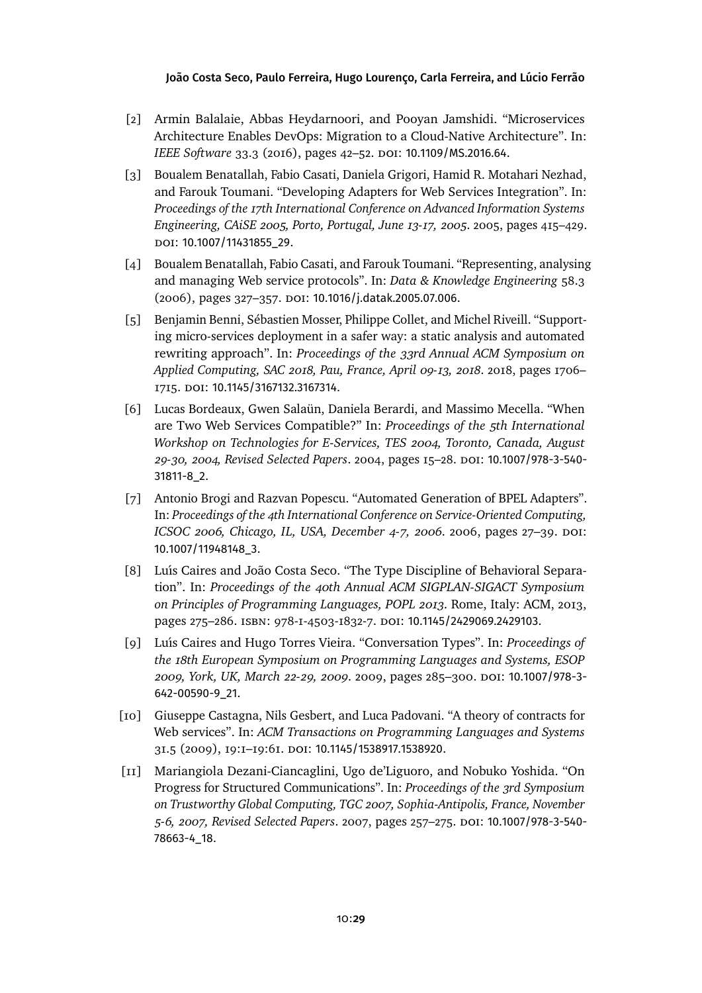- <span id="page-28-0"></span>[2] Armin Balalaie, Abbas Heydarnoori, and Pooyan Jamshidi. "Microservices Architecture Enables DevOps: Migration to a Cloud-Native Architecture". In: *IEEE Software* 33.3 (2016), pages 42–52. DOI: [10.1109/MS.2016.64](https://doi.org/10.1109/MS.2016.64).
- <span id="page-28-5"></span>[3] Boualem Benatallah, Fabio Casati, Daniela Grigori, Hamid R. Motahari Nezhad, and Farouk Toumani. "Developing Adapters for Web Services Integration". In: *Proceedings of the 17th International Conference on Advanced Information Systems Engineering, CAiSE 2005, Porto, Portugal, June 13-17, 2005*. 2005, pages 415–429. doi: [10.1007/11431855\\_29](https://doi.org/10.1007/11431855_29).
- <span id="page-28-6"></span>[4] Boualem Benatallah, Fabio Casati, and Farouk Toumani. "Representing, analysing and managing Web service protocols". In: *Data & Knowledge Engineering* 58.3 (2006), pages 327-357. DOI: [10.1016/j.datak.2005.07.006](https://doi.org/10.1016/j.datak.2005.07.006).
- <span id="page-28-1"></span>[5] Benjamin Benni, Sébastien Mosser, Philippe Collet, and Michel Riveill. "Supporting micro-services deployment in a safer way: a static analysis and automated rewriting approach". In: *Proceedings of the 33rd Annual ACM Symposium on Applied Computing, SAC 2018, Pau, France, April 09-13, 2018*. 2018, pages 1706– 1715. doi: [10.1145/3167132.3167314](https://doi.org/10.1145/3167132.3167314).
- <span id="page-28-7"></span>[6] Lucas Bordeaux, Gwen Salaün, Daniela Berardi, and Massimo Mecella. "When are Two Web Services Compatible?" In: *Proceedings of the 5th International Workshop on Technologies for E-Services, TES 2004, Toronto, Canada, August 29-30, 2004, Revised Selected Papers*. 2004, pages 15–28. doi: [10.1007/978-3-540-](https://doi.org/10.1007/978-3-540-31811-8_2) [31811-8\\_2](https://doi.org/10.1007/978-3-540-31811-8_2).
- <span id="page-28-8"></span>[7] Antonio Brogi and Razvan Popescu. "Automated Generation of BPEL Adapters". In: *Proceedings of the 4th International Conference on Service-Oriented Computing, ICSOC 2006, Chicago, IL, USA, December 4-7, 2006. 2006, pages 27–39. DOI:* [10.1007/11948148\\_3](https://doi.org/10.1007/11948148_3).
- <span id="page-28-3"></span>[8] Luı́s Caires and João Costa Seco. "The Type Discipline of Behavioral Separation". In: *Proceedings of the 40th Annual ACM SIGPLAN-SIGACT Symposium on Principles of Programming Languages, POPL 2013*. Rome, Italy: ACM, 2013, pages 275-286. ISBN: 978-I-4503-I832-7. DOI: [10.1145/2429069.2429103](https://doi.org/10.1145/2429069.2429103).
- <span id="page-28-2"></span>[9] Luı́s Caires and Hugo Torres Vieira. "Conversation Types". In: *Proceedings of the 18th European Symposium on Programming Languages and Systems, ESOP 2009, York, UK, March 22-29, 2009*. 2009, pages 285–300. doi: [10.1007/978-3-](https://doi.org/10.1007/978-3-642-00590-9_21) [642-00590-9\\_21](https://doi.org/10.1007/978-3-642-00590-9_21).
- <span id="page-28-9"></span>[10] Giuseppe Castagna, Nils Gesbert, and Luca Padovani. "A theory of contracts for Web services". In: *ACM Transactions on Programming Languages and Systems* 31.5 (2009), 19:1–19:61. doi: [10.1145/1538917.1538920](https://doi.org/10.1145/1538917.1538920).
- <span id="page-28-4"></span>[11] Mariangiola Dezani-Ciancaglini, Ugo de'Liguoro, and Nobuko Yoshida. "On Progress for Structured Communications". In: *Proceedings of the 3rd Symposium on Trustworthy Global Computing, TGC 2007, Sophia-Antipolis, France, November 5-6, 2007, Revised Selected Papers*. 2007, pages 257–275. doi: [10.1007/978-3-540-](https://doi.org/10.1007/978-3-540-78663-4_18) [78663-4\\_18](https://doi.org/10.1007/978-3-540-78663-4_18).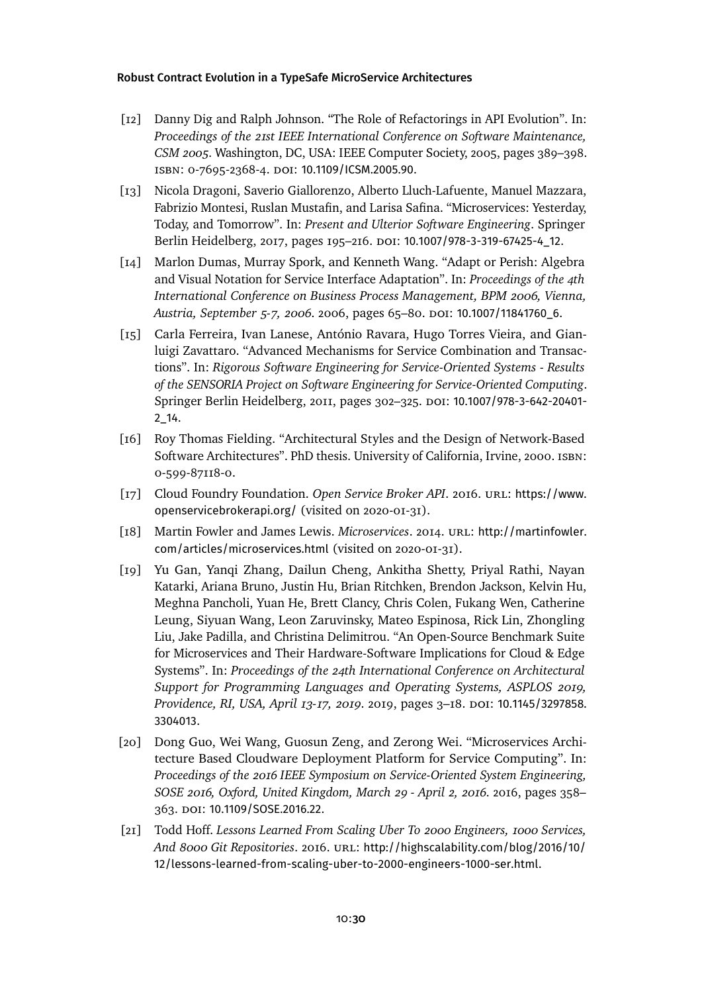- <span id="page-29-8"></span>[12] Danny Dig and Ralph Johnson. "The Role of Refactorings in API Evolution". In: *Proceedings of the 21st IEEE International Conference on Software Maintenance, CSM 2005*. Washington, DC, USA: IEEE Computer Society, 2005, pages 389–398. isbn: 0-7695-2368-4. doi: [10.1109/ICSM.2005.90](https://doi.org/10.1109/ICSM.2005.90).
- <span id="page-29-4"></span>[13] Nicola Dragoni, Saverio Giallorenzo, Alberto Lluch-Lafuente, Manuel Mazzara, Fabrizio Montesi, Ruslan Mustafin, and Larisa Safina. "Microservices: Yesterday, Today, and Tomorrow". In: *Present and Ulterior Software Engineering*. Springer Berlin Heidelberg, 2017, pages 195-216. DOI: [10.1007/978-3-319-67425-4\\_12](https://doi.org/10.1007/978-3-319-67425-4_12).
- <span id="page-29-9"></span>[14] Marlon Dumas, Murray Spork, and Kenneth Wang. "Adapt or Perish: Algebra and Visual Notation for Service Interface Adaptation". In: *Proceedings of the 4th International Conference on Business Process Management, BPM 2006, Vienna,* Austria, September 5-7, 2006. 2006, pages 65-80. DOI: [10.1007/11841760\\_6](https://doi.org/10.1007/11841760_6).
- <span id="page-29-6"></span>[15] Carla Ferreira, Ivan Lanese, António Ravara, Hugo Torres Vieira, and Gianluigi Zavattaro. "Advanced Mechanisms for Service Combination and Transactions". In: *Rigorous Software Engineering for Service-Oriented Systems - Results of the SENSORIA Project on Software Engineering for Service-Oriented Computing*. Springer Berlin Heidelberg, 2011, pages 302-325. DOI: [10.1007/978-3-642-20401-](https://doi.org/10.1007/978-3-642-20401-2_14) [2\\_14](https://doi.org/10.1007/978-3-642-20401-2_14).
- <span id="page-29-2"></span>[16] Roy Thomas Fielding. "Architectural Styles and the Design of Network-Based Software Architectures". PhD thesis. University of California, Irvine, 2000. isbn: 0-599-87118-0.
- <span id="page-29-1"></span>[17] Cloud Foundry Foundation. Open Service Broker API. 2016. URL: [https://www.](https://www.openservicebrokerapi.org/) [openservicebrokerapi.org/](https://www.openservicebrokerapi.org/) (visited on 2020-01-31).
- <span id="page-29-5"></span>[18] Martin Fowler and James Lewis. *Microservices*. 2014. url: [http://martinfowler.](http://martinfowler.com/articles/microservices.html) [com/articles/microservices.html](http://martinfowler.com/articles/microservices.html) (visited on 2020-01-31).
- <span id="page-29-0"></span>[19] Yu Gan, Yanqi Zhang, Dailun Cheng, Ankitha Shetty, Priyal Rathi, Nayan Katarki, Ariana Bruno, Justin Hu, Brian Ritchken, Brendon Jackson, Kelvin Hu, Meghna Pancholi, Yuan He, Brett Clancy, Chris Colen, Fukang Wen, Catherine Leung, Siyuan Wang, Leon Zaruvinsky, Mateo Espinosa, Rick Lin, Zhongling Liu, Jake Padilla, and Christina Delimitrou. "An Open-Source Benchmark Suite for Microservices and Their Hardware-Software Implications for Cloud & Edge Systems". In: *Proceedings of the 24th International Conference on Architectural Support for Programming Languages and Operating Systems, ASPLOS 2019, Providence, RI, USA, April 13-17, 2019*. 2019, pages 3–18. doi: [10.1145/3297858.](https://doi.org/10.1145/3297858.3304013) [3304013](https://doi.org/10.1145/3297858.3304013).
- <span id="page-29-7"></span>[20] Dong Guo, Wei Wang, Guosun Zeng, and Zerong Wei. "Microservices Architecture Based Cloudware Deployment Platform for Service Computing". In: *Proceedings of the 2016 IEEE Symposium on Service-Oriented System Engineering, SOSE 2016, Oxford, United Kingdom, March 29 - April 2, 2016*. 2016, pages 358– 363. doi: [10.1109/SOSE.2016.22](https://doi.org/10.1109/SOSE.2016.22).
- <span id="page-29-3"></span>[21] Todd Hoff. *Lessons Learned From Scaling Uber To 2000 Engineers, 1000 Services, And 8000 Git Repositories*. 2016. url: [http://highscalability.com/blog/2016/10/](http://highscalability.com/blog/2016/10/12/lessons-learned-from-scaling-uber-to-2000-engineers-1000-ser.html) [12/lessons-learned-from-scaling-uber-to-2000-engineers-1000-ser.html](http://highscalability.com/blog/2016/10/12/lessons-learned-from-scaling-uber-to-2000-engineers-1000-ser.html).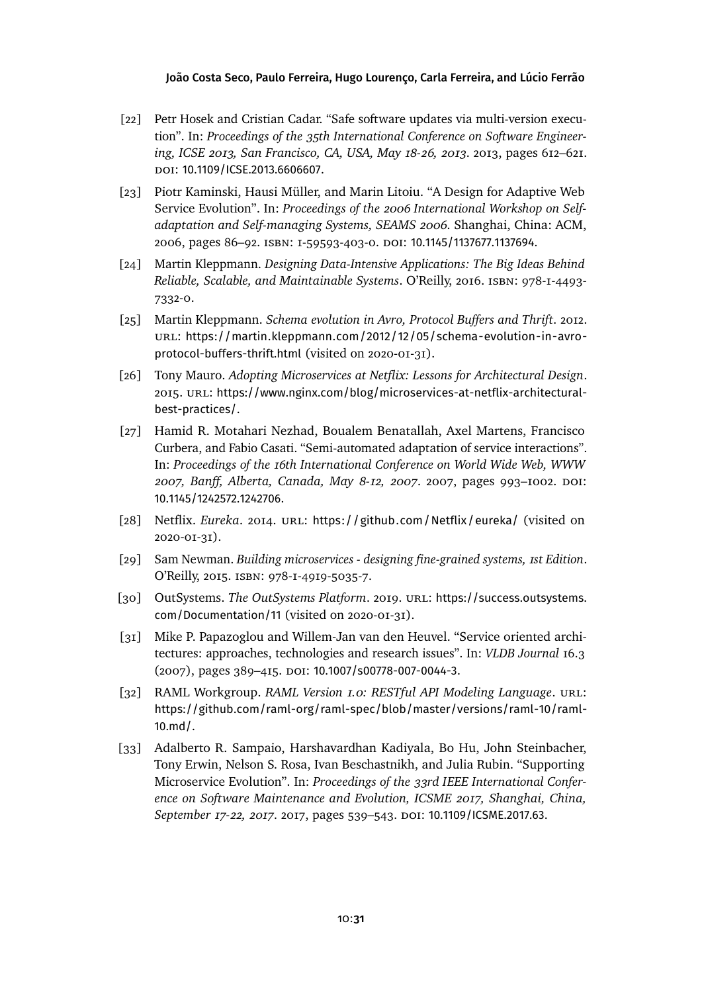- <span id="page-30-0"></span>[22] Petr Hosek and Cristian Cadar. "Safe software updates via multi-version execution". In: *Proceedings of the 35th International Conference on Software Engineering, ICSE 2013, San Francisco, CA, USA, May 18-26, 2013*. 2013, pages 612–621. doi: [10.1109/ICSE.2013.6606607](https://doi.org/10.1109/ICSE.2013.6606607).
- <span id="page-30-1"></span>[23] Piotr Kaminski, Hausi Müller, and Marin Litoiu. "A Design for Adaptive Web Service Evolution". In: *Proceedings of the 2006 International Workshop on Selfadaptation and Self-managing Systems, SEAMS 2006*. Shanghai, China: ACM, 2006, pages 86–92. isbn: 1-59593-403-0. doi: [10.1145/1137677.1137694](https://doi.org/10.1145/1137677.1137694).
- <span id="page-30-7"></span>[24] Martin Kleppmann. *Designing Data-Intensive Applications: The Big Ideas Behind Reliable, Scalable, and Maintainable Systems*. O'Reilly, 2016. isbn: 978-1-4493- 7332-0.
- <span id="page-30-8"></span>[25] Martin Kleppmann. *Schema evolution in Avro, Protocol Buffers and Thrift*. 2012. url: [https://martin.kleppmann.com/2012/12/05/schema-evolution-in-avro](https://martin.kleppmann.com/2012/12/05/schema-evolution-in-avro-protocol-buffers-thrift.html)[protocol-buffers-thrift.html](https://martin.kleppmann.com/2012/12/05/schema-evolution-in-avro-protocol-buffers-thrift.html) (visited on 2020-01-31).
- <span id="page-30-5"></span>[26] Tony Mauro. *Adopting Microservices at Netflix: Lessons for Architectural Design*. 2015. url: [https://www.nginx.com/blog/microservices-at-netflix-architectural](https://www.nginx.com/blog/microservices-at-netflix-architectural-best-practices/)[best-practices/](https://www.nginx.com/blog/microservices-at-netflix-architectural-best-practices/).
- <span id="page-30-10"></span>[27] Hamid R. Motahari Nezhad, Boualem Benatallah, Axel Martens, Francisco Curbera, and Fabio Casati. "Semi-automated adaptation of service interactions". In: *Proceedings of the 16th International Conference on World Wide Web, WWW* 2007, Banff, Alberta, Canada, May 8-12, 2007. 2007, pages 993-1002. DOI: [10.1145/1242572.1242706](https://doi.org/10.1145/1242572.1242706).
- <span id="page-30-2"></span>[28] Netflix. *Eureka.* 2014. URL: <https://github.com/Netflix/eureka/> (visited on 2020-01-31).
- <span id="page-30-6"></span>[29] Sam Newman. *Building microservices - designing fine-grained systems, 1st Edition*. O'Reilly, 2015. isbn: 978-1-4919-5035-7.
- <span id="page-30-3"></span>[30] OutSystems. *The OutSystems Platform*. 2019. url: [https://success.outsystems.](https://success.outsystems.com/Documentation/11) [com/Documentation/11](https://success.outsystems.com/Documentation/11) (visited on 2020-01-31).
- <span id="page-30-4"></span>[31] Mike P. Papazoglou and Willem-Jan van den Heuvel. "Service oriented architectures: approaches, technologies and research issues". In: *VLDB Journal* 16.3 (2007), pages 389–415. doi: [10.1007/s00778-007-0044-3](https://doi.org/10.1007/s00778-007-0044-3).
- <span id="page-30-11"></span>[32] RAML Workgroup. *RAML Version 1.0: RESTful API Modeling Language*. url: [https://github.com/raml-org/raml-spec/blob/master/versions/raml-10/raml-](https://github.com/raml-org/raml-spec/blob/master/versions/raml-10/raml-10.md/)[10.md/](https://github.com/raml-org/raml-spec/blob/master/versions/raml-10/raml-10.md/).
- <span id="page-30-9"></span>[33] Adalberto R. Sampaio, Harshavardhan Kadiyala, Bo Hu, John Steinbacher, Tony Erwin, Nelson S. Rosa, Ivan Beschastnikh, and Julia Rubin. "Supporting Microservice Evolution". In: *Proceedings of the 33rd IEEE International Conference on Software Maintenance and Evolution, ICSME 2017, Shanghai, China, September 17-22, 2017*. 2017, pages 539–543. doi: [10.1109/ICSME.2017.63](https://doi.org/10.1109/ICSME.2017.63).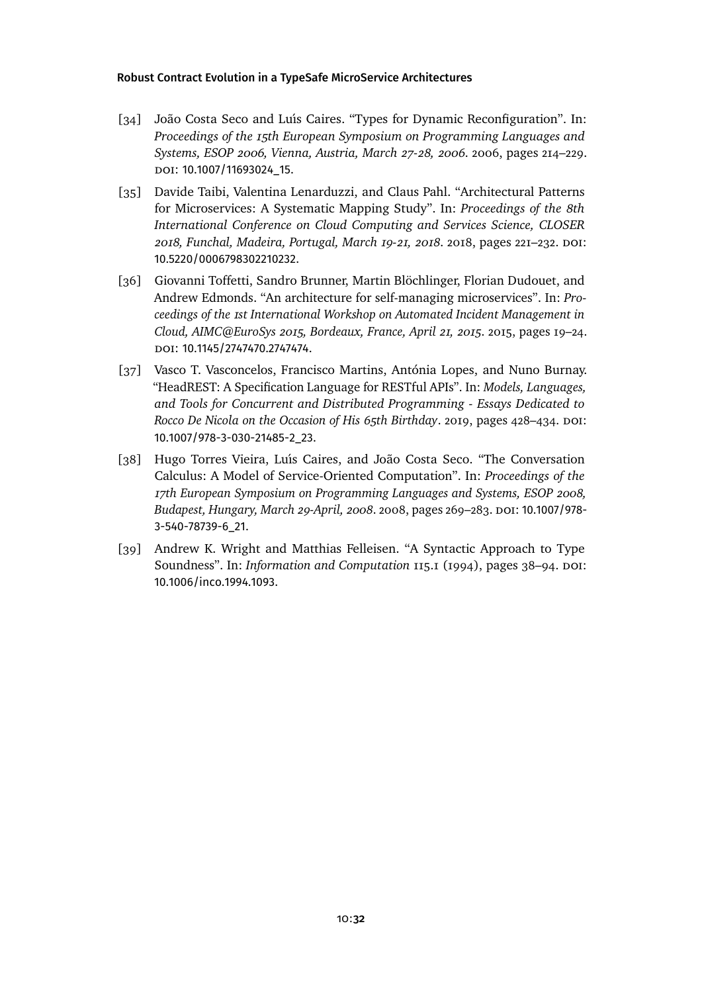- <span id="page-31-1"></span>[34] João Costa Seco and Luís Caires. "Types for Dynamic Reconfiguration". In: *Proceedings of the 15th European Symposium on Programming Languages and Systems, ESOP 2006, Vienna, Austria, March 27-28, 2006*. 2006, pages 214–229. DOI: 10.1007/11693024 15.
- <span id="page-31-3"></span>[35] Davide Taibi, Valentina Lenarduzzi, and Claus Pahl. "Architectural Patterns for Microservices: A Systematic Mapping Study". In: *Proceedings of the 8th International Conference on Cloud Computing and Services Science, CLOSER 2018, Funchal, Madeira, Portugal, March 19-21, 2018*. 2018, pages 221–232. doi: [10.5220/0006798302210232](https://doi.org/10.5220/0006798302210232).
- <span id="page-31-4"></span>[36] Giovanni Toffetti, Sandro Brunner, Martin Blöchlinger, Florian Dudouet, and Andrew Edmonds. "An architecture for self-managing microservices". In: *Proceedings of the 1st International Workshop on Automated Incident Management in Cloud, AIMC@EuroSys 2015, Bordeaux, France, April 21, 2015*. 2015, pages 19–24. doi: [10.1145/2747470.2747474](https://doi.org/10.1145/2747470.2747474).
- <span id="page-31-5"></span>[37] Vasco T. Vasconcelos, Francisco Martins, Antónia Lopes, and Nuno Burnay. "HeadREST: A Specification Language for RESTful APIs". In: *Models, Languages, and Tools for Concurrent and Distributed Programming - Essays Dedicated to Rocco De Nicola on the Occasion of His 65th Birthday.* 2019, pages 428–434. DOI: [10.1007/978-3-030-21485-2\\_23](https://doi.org/10.1007/978-3-030-21485-2_23).
- <span id="page-31-0"></span>[38] Hugo Torres Vieira, Luı́s Caires, and João Costa Seco. "The Conversation Calculus: A Model of Service-Oriented Computation". In: *Proceedings of the 17th European Symposium on Programming Languages and Systems, ESOP 2008,* Budapest, Hungary, March 29-April, 2008. 2008, pages 269–283. DOI: [10.1007/978-](https://doi.org/10.1007/978-3-540-78739-6_21) [3-540-78739-6\\_21](https://doi.org/10.1007/978-3-540-78739-6_21).
- <span id="page-31-2"></span>[39] Andrew K. Wright and Matthias Felleisen. "A Syntactic Approach to Type Soundness". In: *Information and Computation* 115.1 (1994), pages 38–94. DOI: [10.1006/inco.1994.1093](https://doi.org/10.1006/inco.1994.1093).